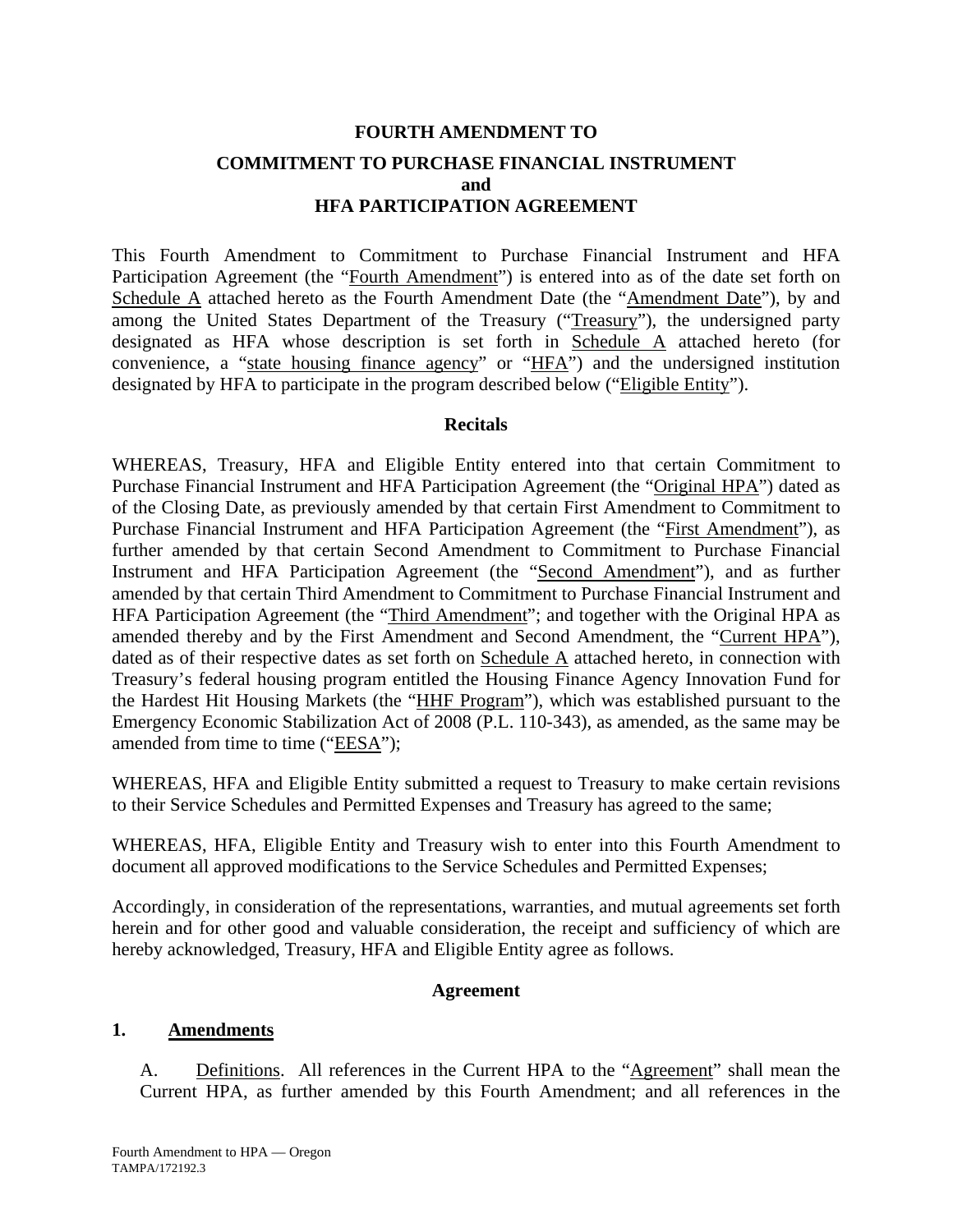# **FOURTH AMENDMENT TO COMMITMENT TO PURCHASE FINANCIAL INSTRUMENT and HFA PARTICIPATION AGREEMENT**

This Fourth Amendment to Commitment to Purchase Financial Instrument and HFA Participation Agreement (the "Fourth Amendment") is entered into as of the date set forth on Schedule A attached hereto as the Fourth Amendment Date (the "Amendment Date"), by and among the United States Department of the Treasury ("Treasury"), the undersigned party designated as HFA whose description is set forth in Schedule A attached hereto (for convenience, a "state housing finance agency" or "HFA") and the undersigned institution designated by HFA to participate in the program described below ("Eligible Entity").

#### **Recitals**

WHEREAS, Treasury, HFA and Eligible Entity entered into that certain Commitment to Purchase Financial Instrument and HFA Participation Agreement (the "Original HPA") dated as of the Closing Date, as previously amended by that certain First Amendment to Commitment to Purchase Financial Instrument and HFA Participation Agreement (the "First Amendment"), as further amended by that certain Second Amendment to Commitment to Purchase Financial Instrument and HFA Participation Agreement (the "Second Amendment"), and as further amended by that certain Third Amendment to Commitment to Purchase Financial Instrument and HFA Participation Agreement (the "Third Amendment"; and together with the Original HPA as amended thereby and by the First Amendment and Second Amendment, the "Current HPA"), dated as of their respective dates as set forth on Schedule A attached hereto, in connection with Treasury's federal housing program entitled the Housing Finance Agency Innovation Fund for the Hardest Hit Housing Markets (the "HHF Program"), which was established pursuant to the Emergency Economic Stabilization Act of 2008 (P.L. 110-343), as amended, as the same may be amended from time to time ("EESA");

WHEREAS, HFA and Eligible Entity submitted a request to Treasury to make certain revisions to their Service Schedules and Permitted Expenses and Treasury has agreed to the same;

WHEREAS, HFA, Eligible Entity and Treasury wish to enter into this Fourth Amendment to document all approved modifications to the Service Schedules and Permitted Expenses;

Accordingly, in consideration of the representations, warranties, and mutual agreements set forth herein and for other good and valuable consideration, the receipt and sufficiency of which are hereby acknowledged, Treasury, HFA and Eligible Entity agree as follows.

#### **Agreement**

#### **1. Amendments**

A. Definitions. All references in the Current HPA to the "Agreement" shall mean the Current HPA, as further amended by this Fourth Amendment; and all references in the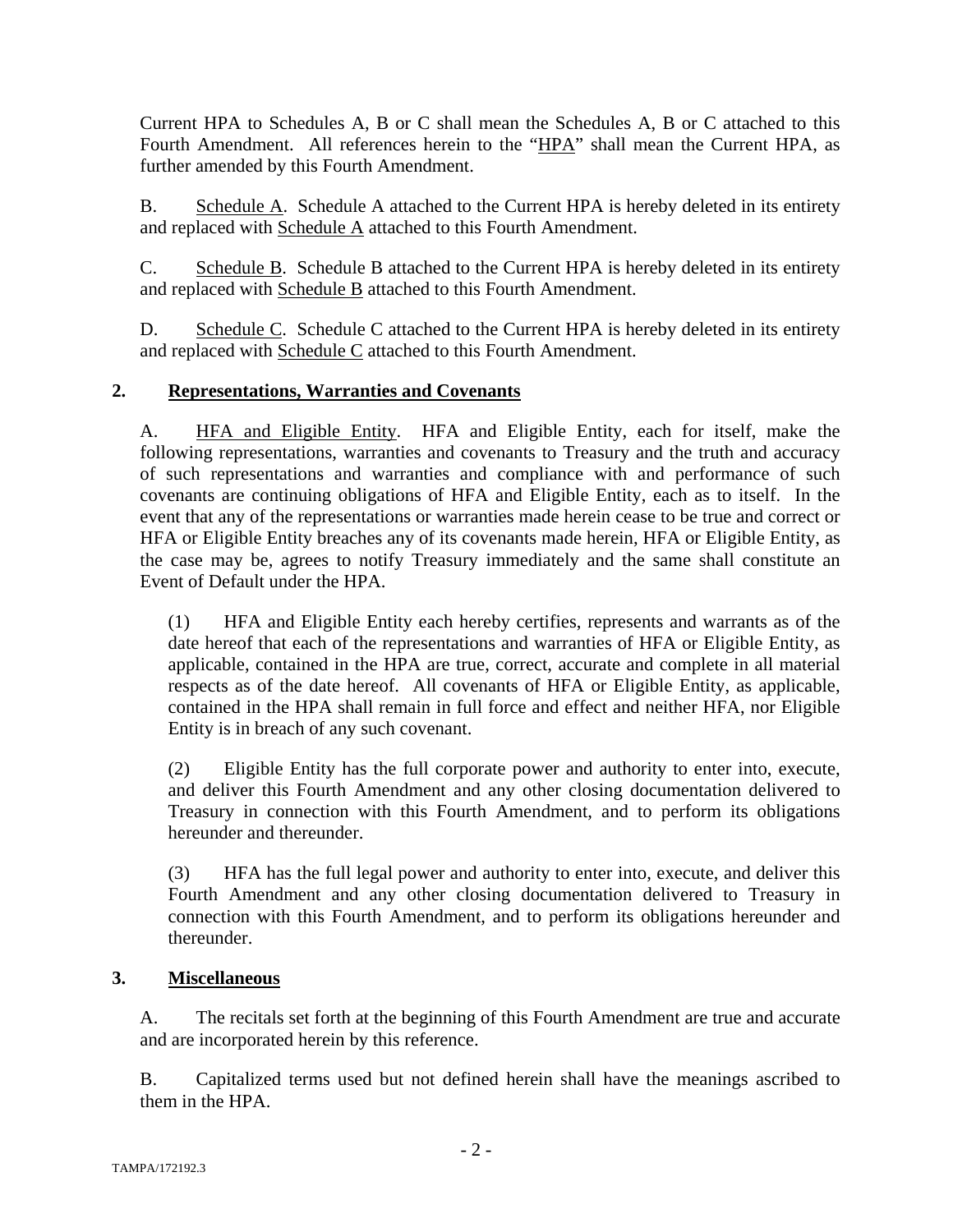Current HPA to Schedules A, B or C shall mean the Schedules A, B or C attached to this Fourth Amendment. All references herein to the "HPA" shall mean the Current HPA, as further amended by this Fourth Amendment.

B. Schedule A. Schedule A attached to the Current HPA is hereby deleted in its entirety and replaced with Schedule A attached to this Fourth Amendment.

C. Schedule B. Schedule B attached to the Current HPA is hereby deleted in its entirety and replaced with Schedule B attached to this Fourth Amendment.

D. Schedule C. Schedule C attached to the Current HPA is hereby deleted in its entirety and replaced with Schedule C attached to this Fourth Amendment.

## **2. Representations, Warranties and Covenants**

A. HFA and Eligible Entity. HFA and Eligible Entity, each for itself, make the following representations, warranties and covenants to Treasury and the truth and accuracy of such representations and warranties and compliance with and performance of such covenants are continuing obligations of HFA and Eligible Entity, each as to itself. In the event that any of the representations or warranties made herein cease to be true and correct or HFA or Eligible Entity breaches any of its covenants made herein, HFA or Eligible Entity, as the case may be, agrees to notify Treasury immediately and the same shall constitute an Event of Default under the HPA.

(1) HFA and Eligible Entity each hereby certifies, represents and warrants as of the date hereof that each of the representations and warranties of HFA or Eligible Entity, as applicable, contained in the HPA are true, correct, accurate and complete in all material respects as of the date hereof. All covenants of HFA or Eligible Entity, as applicable, contained in the HPA shall remain in full force and effect and neither HFA, nor Eligible Entity is in breach of any such covenant.

(2) Eligible Entity has the full corporate power and authority to enter into, execute, and deliver this Fourth Amendment and any other closing documentation delivered to Treasury in connection with this Fourth Amendment, and to perform its obligations hereunder and thereunder.

(3) HFA has the full legal power and authority to enter into, execute, and deliver this Fourth Amendment and any other closing documentation delivered to Treasury in connection with this Fourth Amendment, and to perform its obligations hereunder and thereunder.

#### **3. Miscellaneous**

A. The recitals set forth at the beginning of this Fourth Amendment are true and accurate and are incorporated herein by this reference.

B. Capitalized terms used but not defined herein shall have the meanings ascribed to them in the HPA.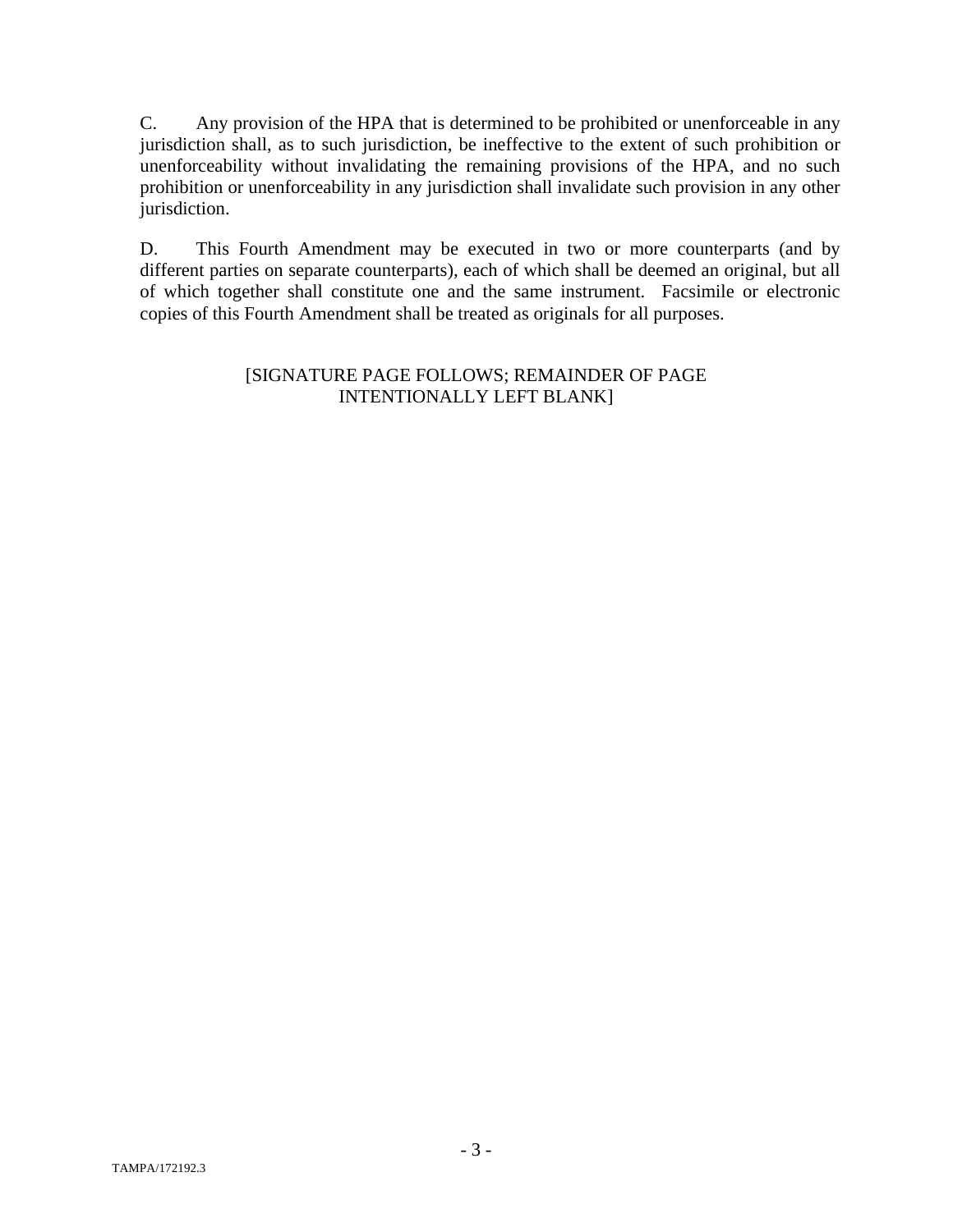C. Any provision of the HPA that is determined to be prohibited or unenforceable in any jurisdiction shall, as to such jurisdiction, be ineffective to the extent of such prohibition or unenforceability without invalidating the remaining provisions of the HPA, and no such prohibition or unenforceability in any jurisdiction shall invalidate such provision in any other jurisdiction.

D. This Fourth Amendment may be executed in two or more counterparts (and by different parties on separate counterparts), each of which shall be deemed an original, but all of which together shall constitute one and the same instrument. Facsimile or electronic copies of this Fourth Amendment shall be treated as originals for all purposes.

#### [SIGNATURE PAGE FOLLOWS; REMAINDER OF PAGE INTENTIONALLY LEFT BLANK]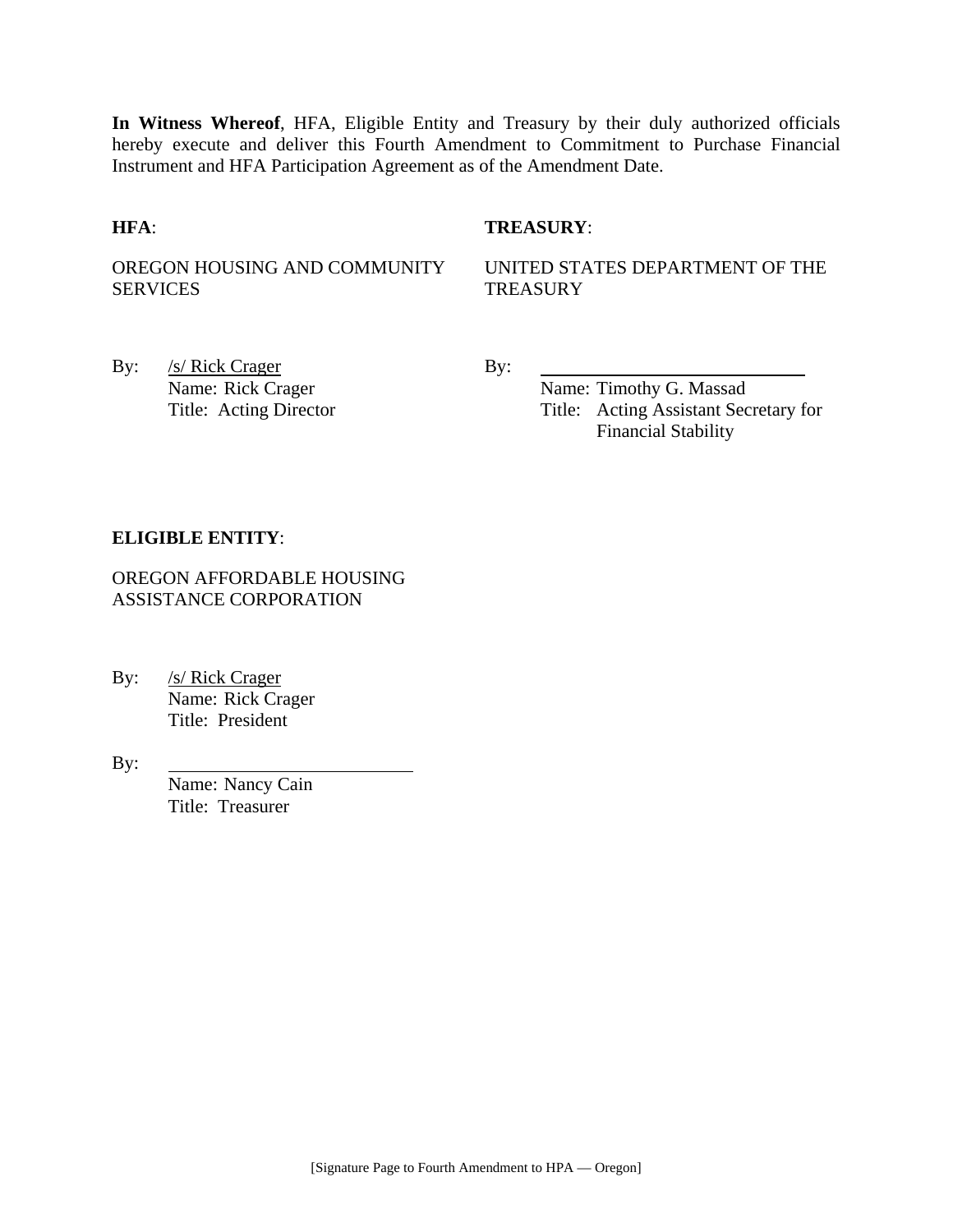**In Witness Whereof**, HFA, Eligible Entity and Treasury by their duly authorized officials hereby execute and deliver this Fourth Amendment to Commitment to Purchase Financial Instrument and HFA Participation Agreement as of the Amendment Date.

#### **HFA**: **TREASURY**:

OREGON HOUSING AND COMMUNITY SERVICES

UNITED STATES DEPARTMENT OF THE **TREASURY** 

By: <u>/s/ Rick Crager</u> By:

Name: Rick Crager Name: Timothy G. Massad Title: Acting Director Title: Acting Assistant Secretary for Financial Stability

#### **ELIGIBLE ENTITY**:

OREGON AFFORDABLE HOUSING ASSISTANCE CORPORATION

By: /s/ Rick Crager Name: Rick Crager Title: President

By:

Name: Nancy Cain Title: Treasurer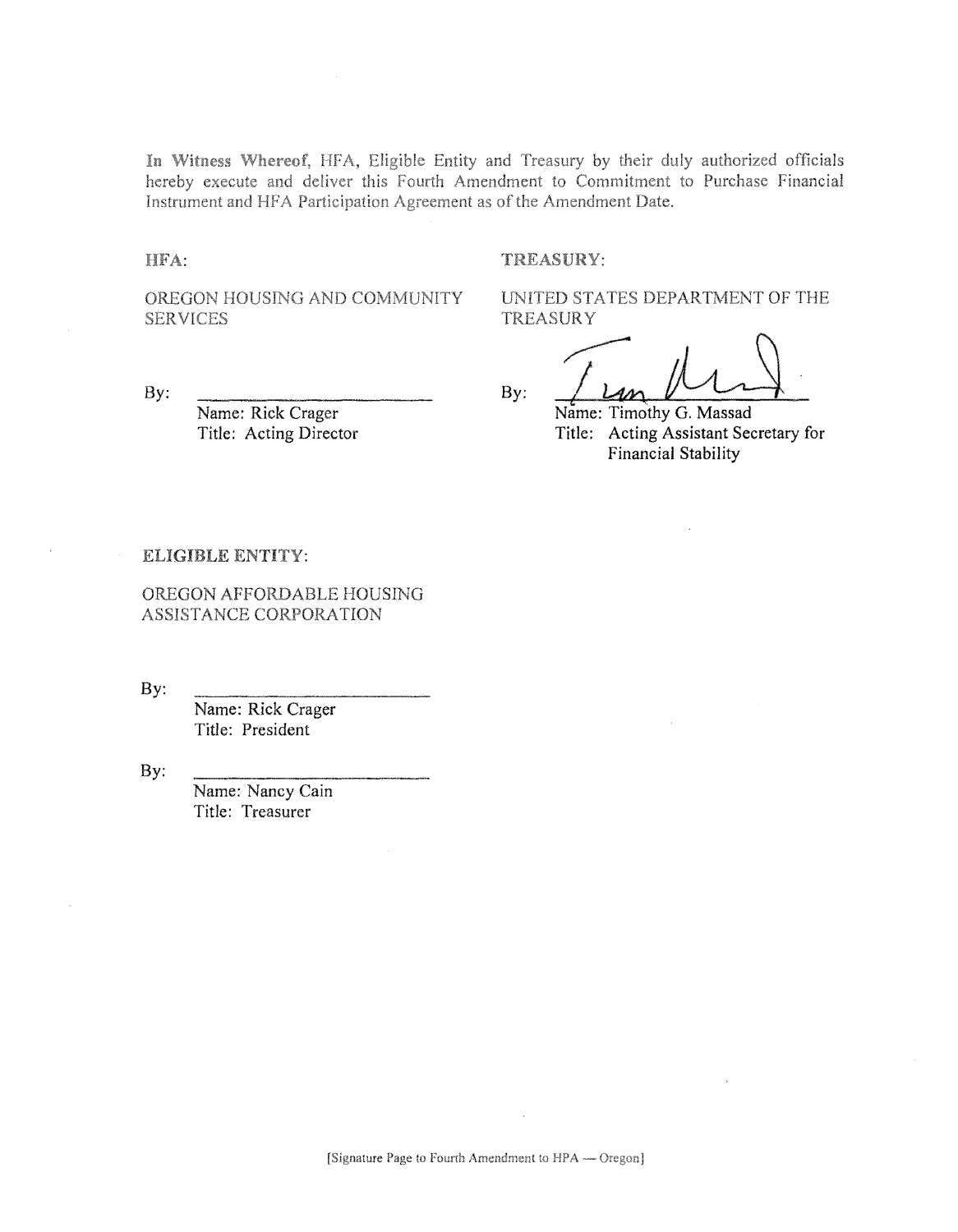In Witness Whereof, HFA, Eligible Entity and Treasury by their duly authorized officials hereby execute and deliver this Fourth Amendment to Commitment to Purchase Financial Instrument and HFA Participation Agreement as of the Amendment Date.

HFA:

#### TREASURY:

OREGON HOUSING AND COMMUNITY **SERVICES** 

By:

Name: Rick Crager Title: Acting Director UNITED STATES DEPARTMENT OF THE **TREASURY** 

By:

Name: Timothy G. Massad Title: Acting Assistant Secretary for Financial Stability

#### ELIGIBLE ENTITY:

OREGON AFFORDABLE HOUSING ASSISTANCE CORPORATION

By:

Name: Rick Crager Title: President

By:

Name: Nancy Cain Title: Treasurer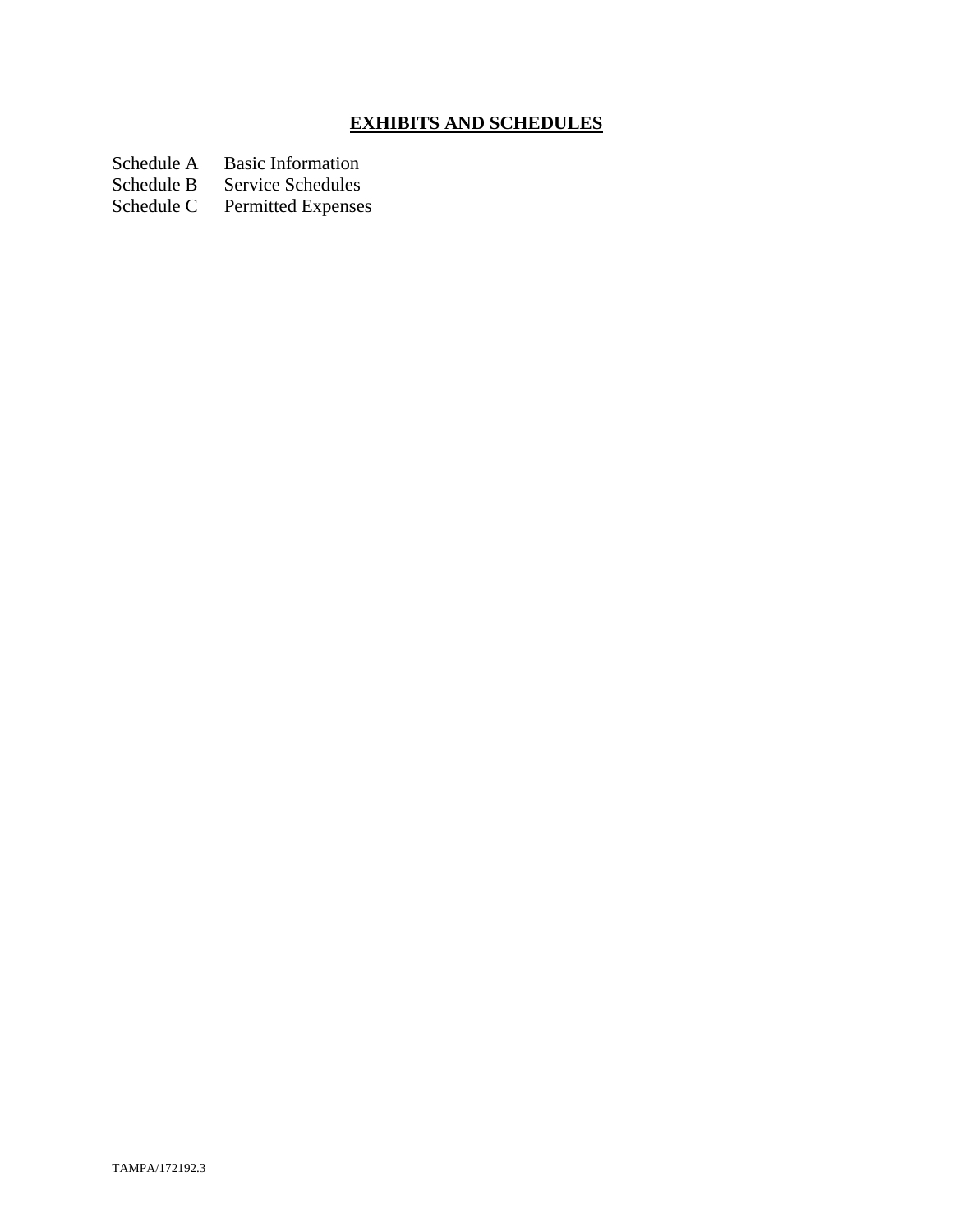# **EXHIBITS AND SCHEDULES**

Schedule A Basic Information<br>Schedule B Service Schedules

Schedule B Service Schedules<br>Schedule C Permitted Expenses

Permitted Expenses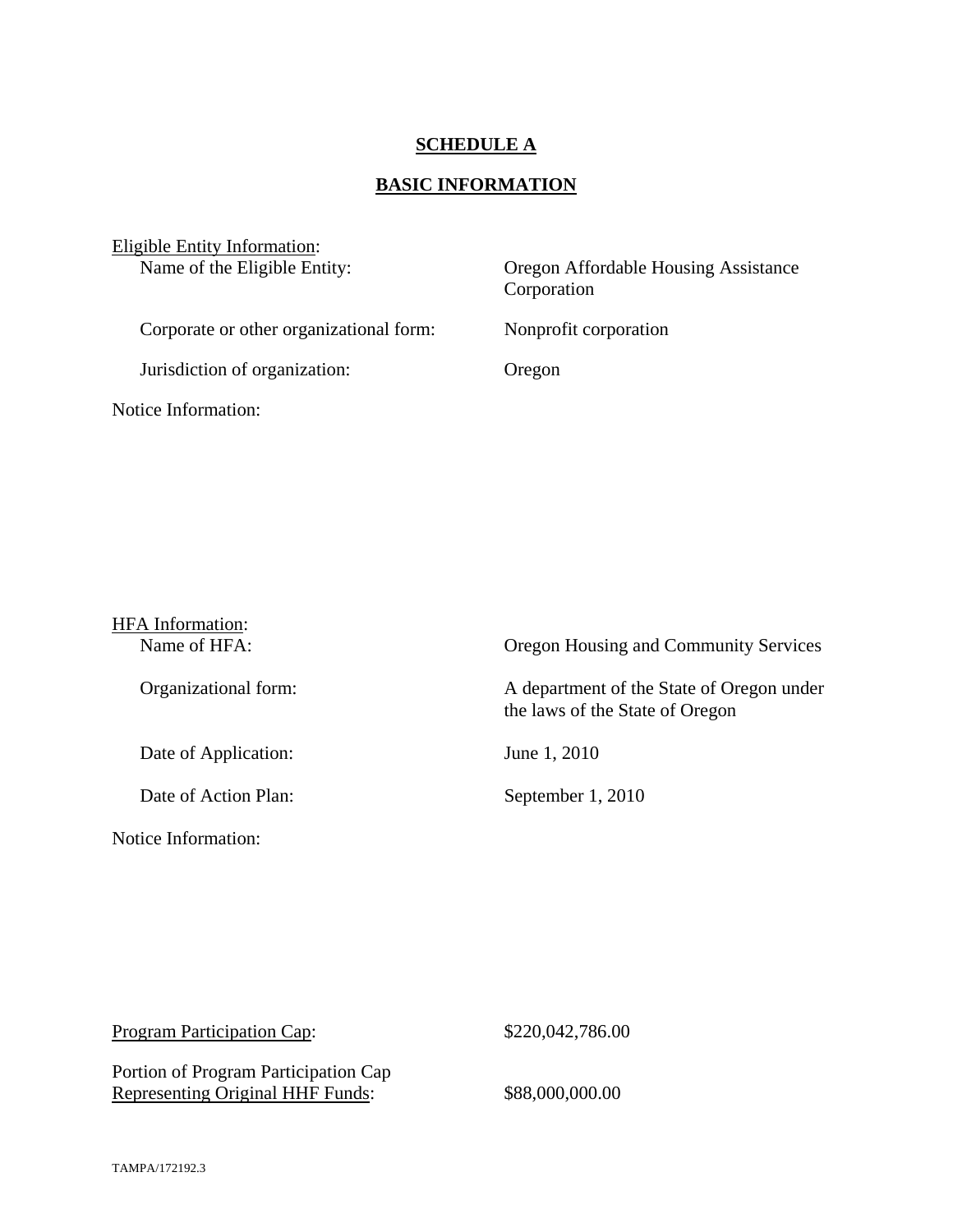# **SCHEDULE A**

# **BASIC INFORMATION**

| Eligible Entity Information:<br>Name of the Eligible Entity: | Oregon Affordable Housing Assistance<br>Corporation |  |
|--------------------------------------------------------------|-----------------------------------------------------|--|
| Corporate or other organizational form:                      | Nonprofit corporation                               |  |
| Jurisdiction of organization:                                | Oregon                                              |  |
| Notice Information:                                          |                                                     |  |

| <b>HFA</b> Information:<br>Name of HFA: | Oregon Housing and Community Services                                        |
|-----------------------------------------|------------------------------------------------------------------------------|
| Organizational form:                    | A department of the State of Oregon under<br>the laws of the State of Oregon |
| Date of Application:                    | June 1, 2010                                                                 |
| Date of Action Plan:                    | September 1, 2010                                                            |
| Notice Information:                     |                                                                              |

| <b>Program Participation Cap:</b>                                        | \$220,042,786.00 |
|--------------------------------------------------------------------------|------------------|
| Portion of Program Participation Cap<br>Representing Original HHF Funds: | \$88,000,000.00  |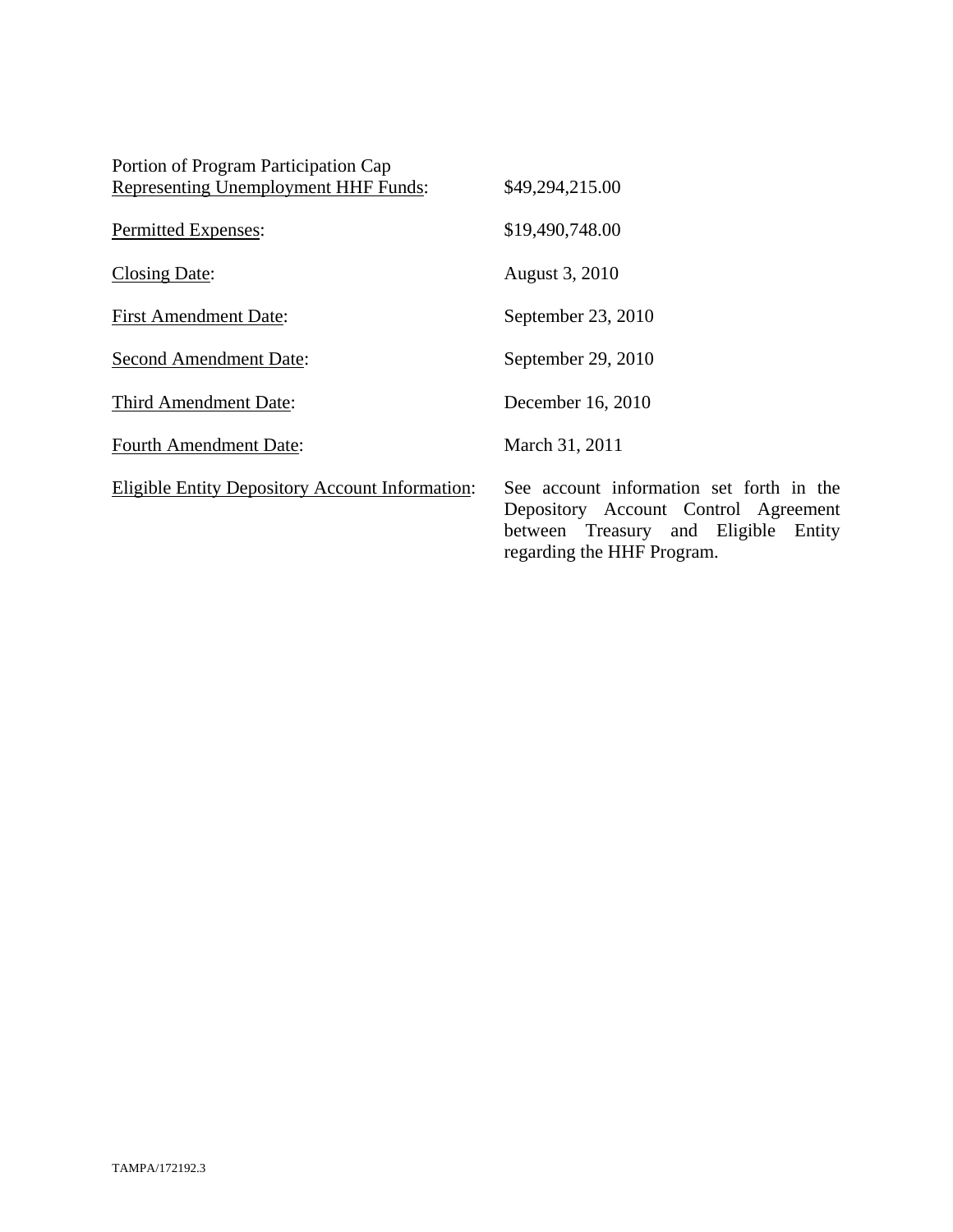| Portion of Program Participation Cap                   |                                                                                                                                                        |
|--------------------------------------------------------|--------------------------------------------------------------------------------------------------------------------------------------------------------|
| <b>Representing Unemployment HHF Funds:</b>            | \$49,294,215.00                                                                                                                                        |
| <b>Permitted Expenses:</b>                             | \$19,490,748.00                                                                                                                                        |
| <b>Closing Date:</b>                                   | August 3, 2010                                                                                                                                         |
| <b>First Amendment Date:</b>                           | September 23, 2010                                                                                                                                     |
| <b>Second Amendment Date:</b>                          | September 29, 2010                                                                                                                                     |
| Third Amendment Date:                                  | December 16, 2010                                                                                                                                      |
| <b>Fourth Amendment Date:</b>                          | March 31, 2011                                                                                                                                         |
| <b>Eligible Entity Depository Account Information:</b> | See account information set forth in the<br>Depository Account Control Agreement<br>between Treasury and Eligible Entity<br>regarding the HHF Program. |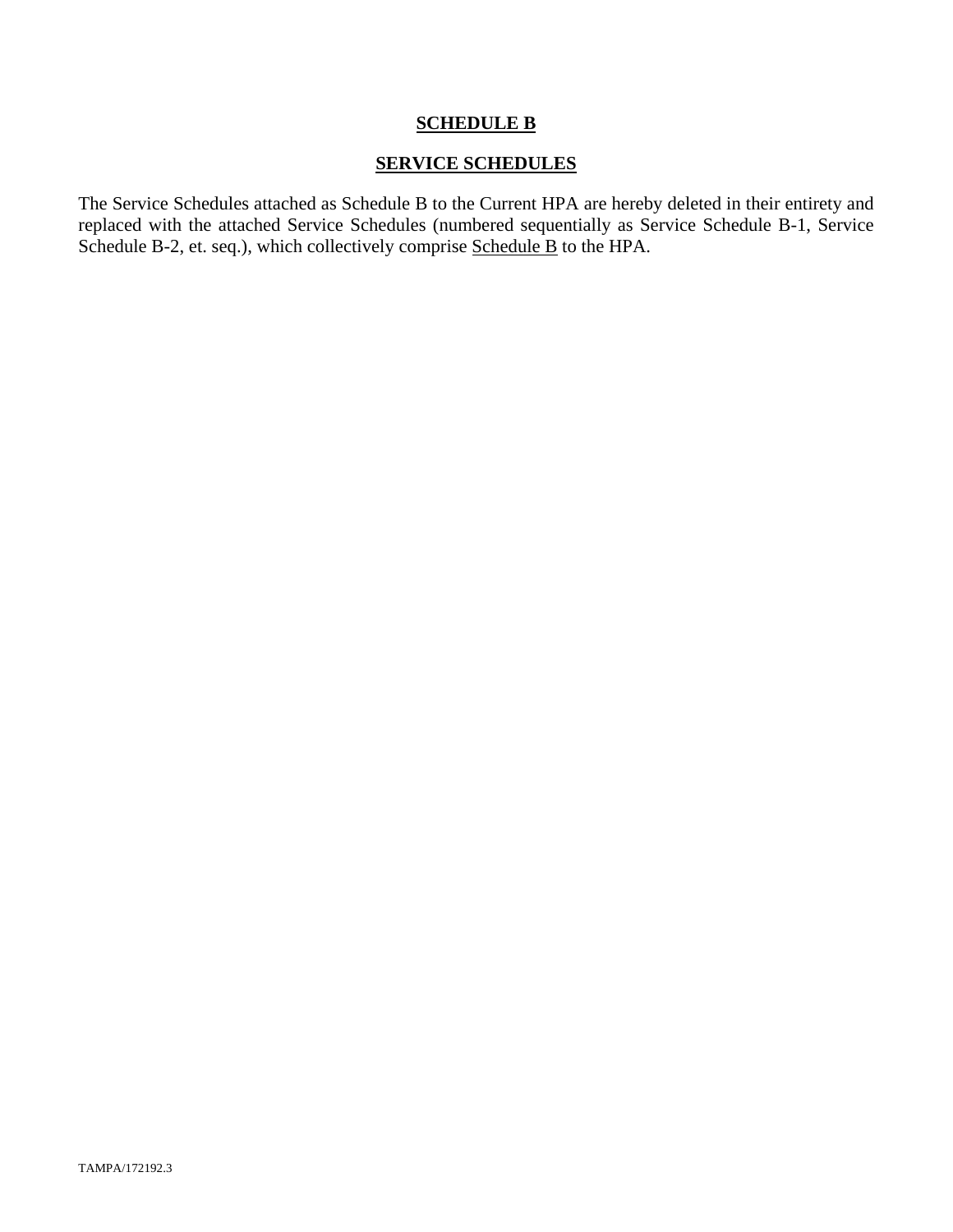#### **SCHEDULE B**

#### **SERVICE SCHEDULES**

The Service Schedules attached as Schedule B to the Current HPA are hereby deleted in their entirety and replaced with the attached Service Schedules (numbered sequentially as Service Schedule B-1, Service Schedule B-2, et. seq.), which collectively comprise Schedule B to the HPA.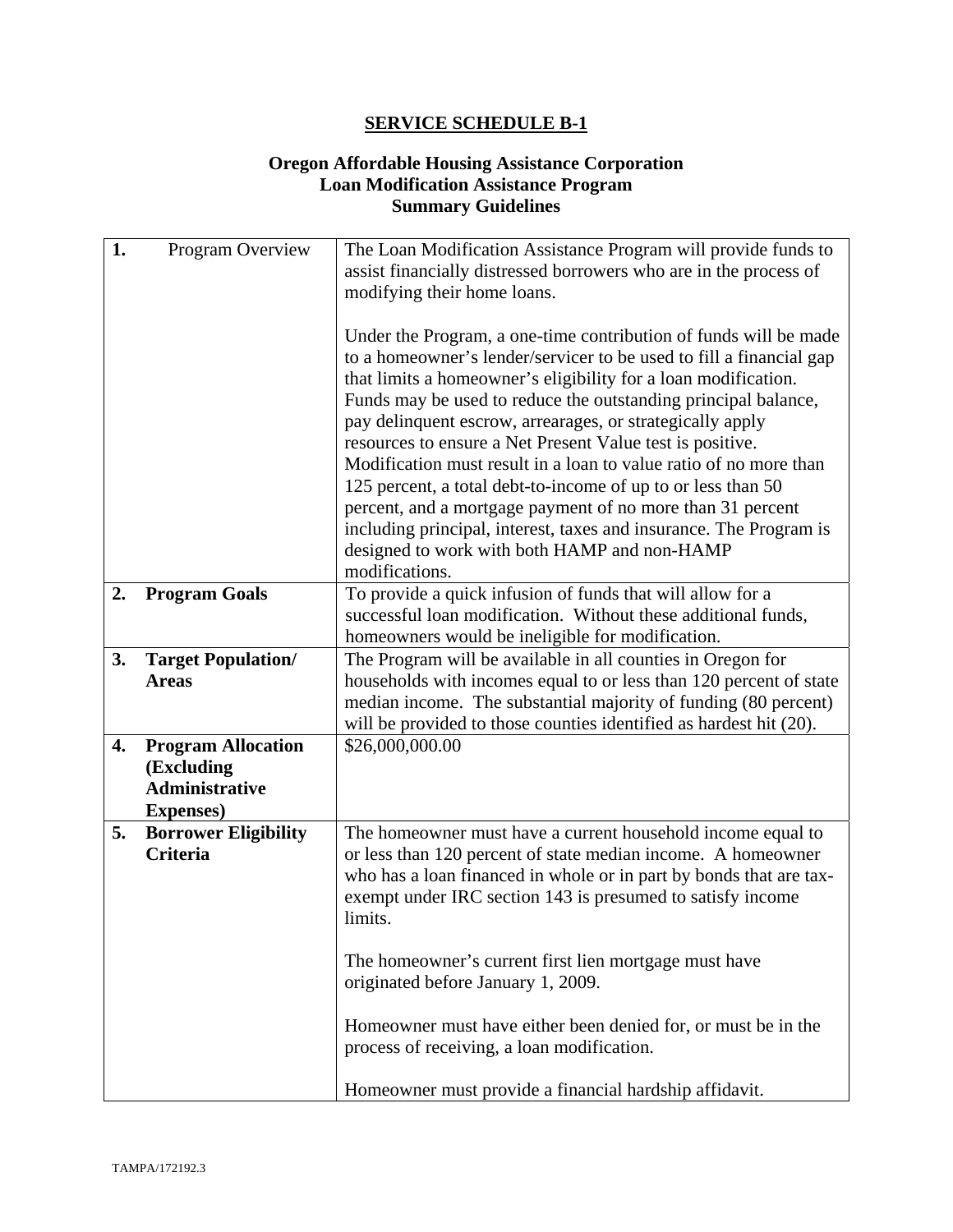#### **Oregon Affordable Housing Assistance Corporation Loan Modification Assistance Program Summary Guidelines**

| 1. | Program Overview                                                                      | The Loan Modification Assistance Program will provide funds to<br>assist financially distressed borrowers who are in the process of<br>modifying their home loans.                                                                                                                                                                                                                                                                                                                                                                                                                                                                                                                                                                               |
|----|---------------------------------------------------------------------------------------|--------------------------------------------------------------------------------------------------------------------------------------------------------------------------------------------------------------------------------------------------------------------------------------------------------------------------------------------------------------------------------------------------------------------------------------------------------------------------------------------------------------------------------------------------------------------------------------------------------------------------------------------------------------------------------------------------------------------------------------------------|
|    |                                                                                       | Under the Program, a one-time contribution of funds will be made<br>to a homeowner's lender/servicer to be used to fill a financial gap<br>that limits a homeowner's eligibility for a loan modification.<br>Funds may be used to reduce the outstanding principal balance,<br>pay delinquent escrow, arrearages, or strategically apply<br>resources to ensure a Net Present Value test is positive.<br>Modification must result in a loan to value ratio of no more than<br>125 percent, a total debt-to-income of up to or less than 50<br>percent, and a mortgage payment of no more than 31 percent<br>including principal, interest, taxes and insurance. The Program is<br>designed to work with both HAMP and non-HAMP<br>modifications. |
| 2. | <b>Program Goals</b>                                                                  | To provide a quick infusion of funds that will allow for a<br>successful loan modification. Without these additional funds,<br>homeowners would be ineligible for modification.                                                                                                                                                                                                                                                                                                                                                                                                                                                                                                                                                                  |
| 3. | <b>Target Population/</b><br><b>Areas</b>                                             | The Program will be available in all counties in Oregon for<br>households with incomes equal to or less than 120 percent of state<br>median income. The substantial majority of funding (80 percent)<br>will be provided to those counties identified as hardest hit (20).                                                                                                                                                                                                                                                                                                                                                                                                                                                                       |
| 4. | <b>Program Allocation</b><br>(Excluding<br><b>Administrative</b><br><b>Expenses</b> ) | \$26,000,000.00                                                                                                                                                                                                                                                                                                                                                                                                                                                                                                                                                                                                                                                                                                                                  |
| 5. | <b>Borrower Eligibility</b><br><b>Criteria</b>                                        | The homeowner must have a current household income equal to<br>or less than 120 percent of state median income. A homeowner<br>who has a loan financed in whole or in part by bonds that are tax-<br>exempt under IRC section 143 is presumed to satisfy income<br>limits.                                                                                                                                                                                                                                                                                                                                                                                                                                                                       |
|    |                                                                                       | The homeowner's current first lien mortgage must have<br>originated before January 1, 2009.                                                                                                                                                                                                                                                                                                                                                                                                                                                                                                                                                                                                                                                      |
|    |                                                                                       | Homeowner must have either been denied for, or must be in the<br>process of receiving, a loan modification.                                                                                                                                                                                                                                                                                                                                                                                                                                                                                                                                                                                                                                      |
|    |                                                                                       | Homeowner must provide a financial hardship affidavit.                                                                                                                                                                                                                                                                                                                                                                                                                                                                                                                                                                                                                                                                                           |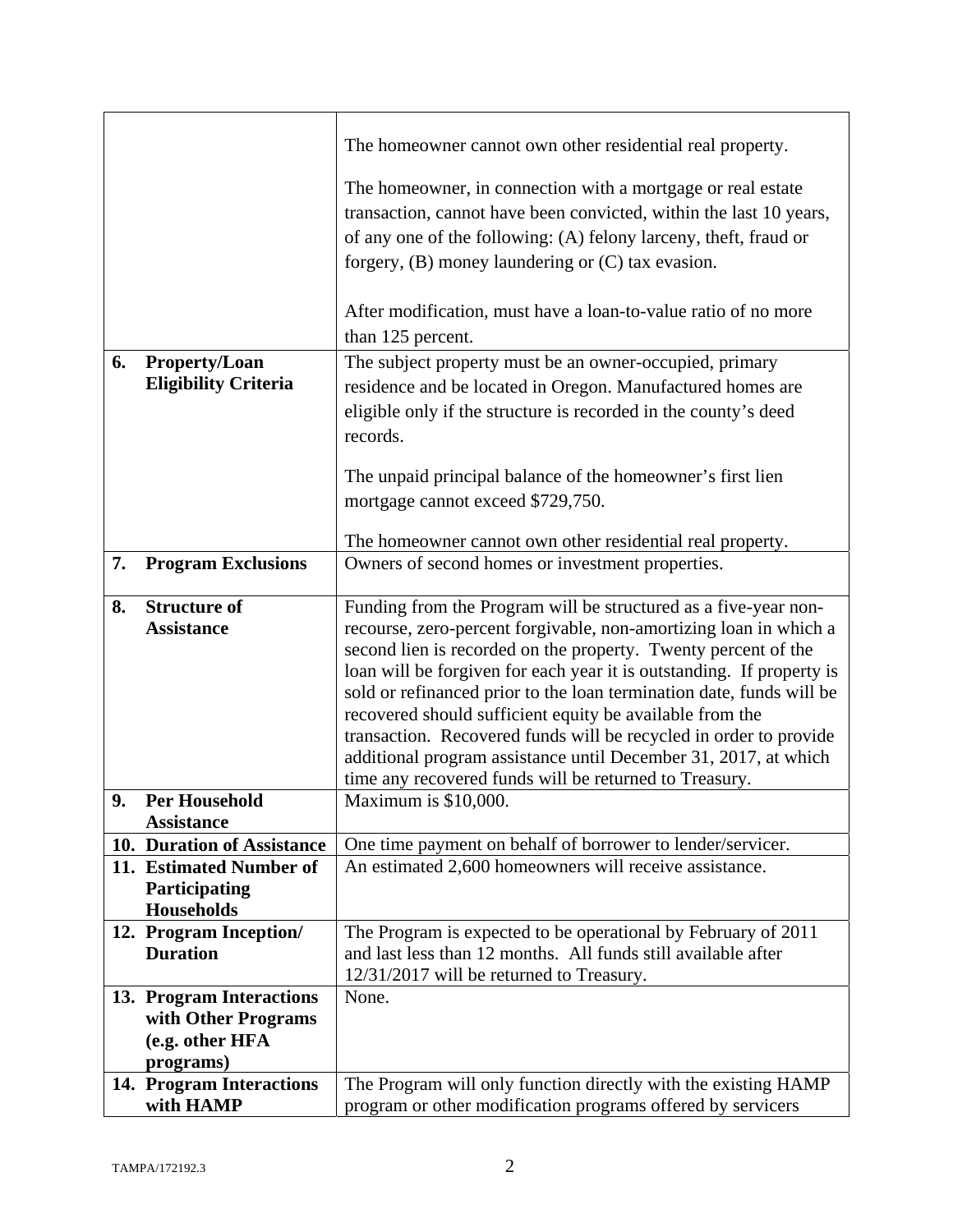|    |                                    | The homeowner cannot own other residential real property.                                                                     |
|----|------------------------------------|-------------------------------------------------------------------------------------------------------------------------------|
|    |                                    | The homeowner, in connection with a mortgage or real estate                                                                   |
|    |                                    | transaction, cannot have been convicted, within the last 10 years,                                                            |
|    |                                    | of any one of the following: (A) felony larceny, theft, fraud or                                                              |
|    |                                    | forgery, $(B)$ money laundering or $(C)$ tax evasion.                                                                         |
|    |                                    |                                                                                                                               |
|    |                                    | After modification, must have a loan-to-value ratio of no more                                                                |
|    |                                    | than 125 percent.                                                                                                             |
| 6. | <b>Property/Loan</b>               | The subject property must be an owner-occupied, primary                                                                       |
|    | <b>Eligibility Criteria</b>        | residence and be located in Oregon. Manufactured homes are                                                                    |
|    |                                    | eligible only if the structure is recorded in the county's deed                                                               |
|    |                                    | records.                                                                                                                      |
|    |                                    |                                                                                                                               |
|    |                                    | The unpaid principal balance of the homeowner's first lien                                                                    |
|    |                                    | mortgage cannot exceed \$729,750.                                                                                             |
|    |                                    |                                                                                                                               |
| 7. | <b>Program Exclusions</b>          | The homeowner cannot own other residential real property.<br>Owners of second homes or investment properties.                 |
|    |                                    |                                                                                                                               |
| 8. | <b>Structure of</b>                | Funding from the Program will be structured as a five-year non-                                                               |
|    | <b>Assistance</b>                  | recourse, zero-percent forgivable, non-amortizing loan in which a                                                             |
|    |                                    | second lien is recorded on the property. Twenty percent of the                                                                |
|    |                                    | loan will be forgiven for each year it is outstanding. If property is                                                         |
|    |                                    | sold or refinanced prior to the loan termination date, funds will be                                                          |
|    |                                    | recovered should sufficient equity be available from the<br>transaction. Recovered funds will be recycled in order to provide |
|    |                                    | additional program assistance until December 31, 2017, at which                                                               |
|    |                                    | time any recovered funds will be returned to Treasury.                                                                        |
| 9. | <b>Per Household</b>               | Maximum is \$10,000.                                                                                                          |
|    | <b>Assistance</b>                  |                                                                                                                               |
|    | 10. Duration of Assistance         | One time payment on behalf of borrower to lender/servicer.                                                                    |
|    | 11. Estimated Number of            | An estimated 2,600 homeowners will receive assistance.                                                                        |
|    | Participating<br><b>Households</b> |                                                                                                                               |
|    | 12. Program Inception/             | The Program is expected to be operational by February of 2011                                                                 |
|    | <b>Duration</b>                    | and last less than 12 months. All funds still available after                                                                 |
|    |                                    | 12/31/2017 will be returned to Treasury.                                                                                      |
|    | 13. Program Interactions           | None.                                                                                                                         |
|    | with Other Programs                |                                                                                                                               |
|    | (e.g. other HFA                    |                                                                                                                               |
|    | programs)                          |                                                                                                                               |
|    | 14. Program Interactions           | The Program will only function directly with the existing HAMP                                                                |
|    | with HAMP                          | program or other modification programs offered by servicers                                                                   |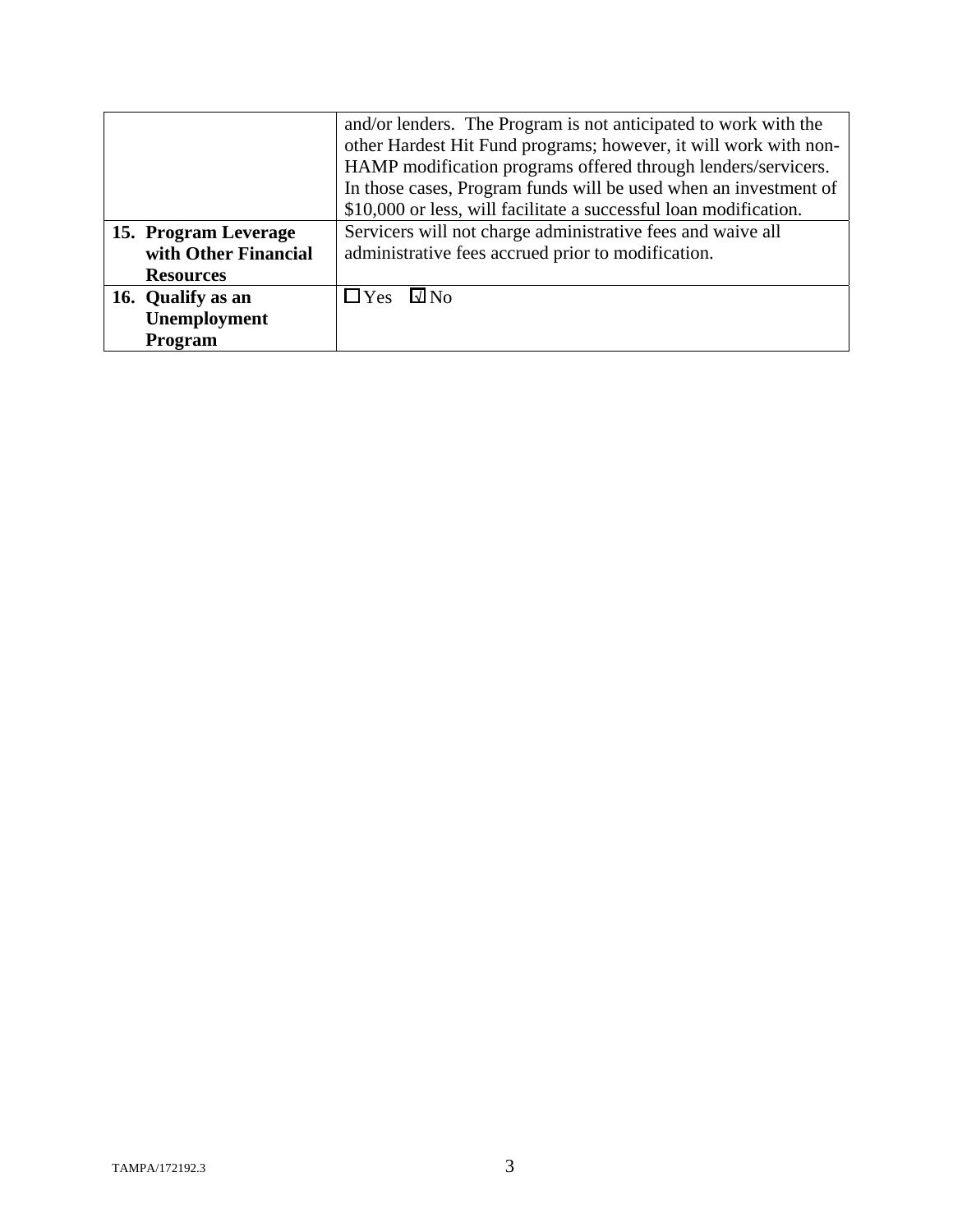|                      | and/or lenders. The Program is not anticipated to work with the   |
|----------------------|-------------------------------------------------------------------|
|                      | other Hardest Hit Fund programs; however, it will work with non-  |
|                      | HAMP modification programs offered through lenders/servicers.     |
|                      | In those cases, Program funds will be used when an investment of  |
|                      | \$10,000 or less, will facilitate a successful loan modification. |
| 15. Program Leverage | Servicers will not charge administrative fees and waive all       |
| with Other Financial | administrative fees accrued prior to modification.                |
| <b>Resources</b>     |                                                                   |
| 16. Qualify as an    | $\Box$ Yes<br>$\square$ No                                        |
| Unemployment         |                                                                   |
| Program              |                                                                   |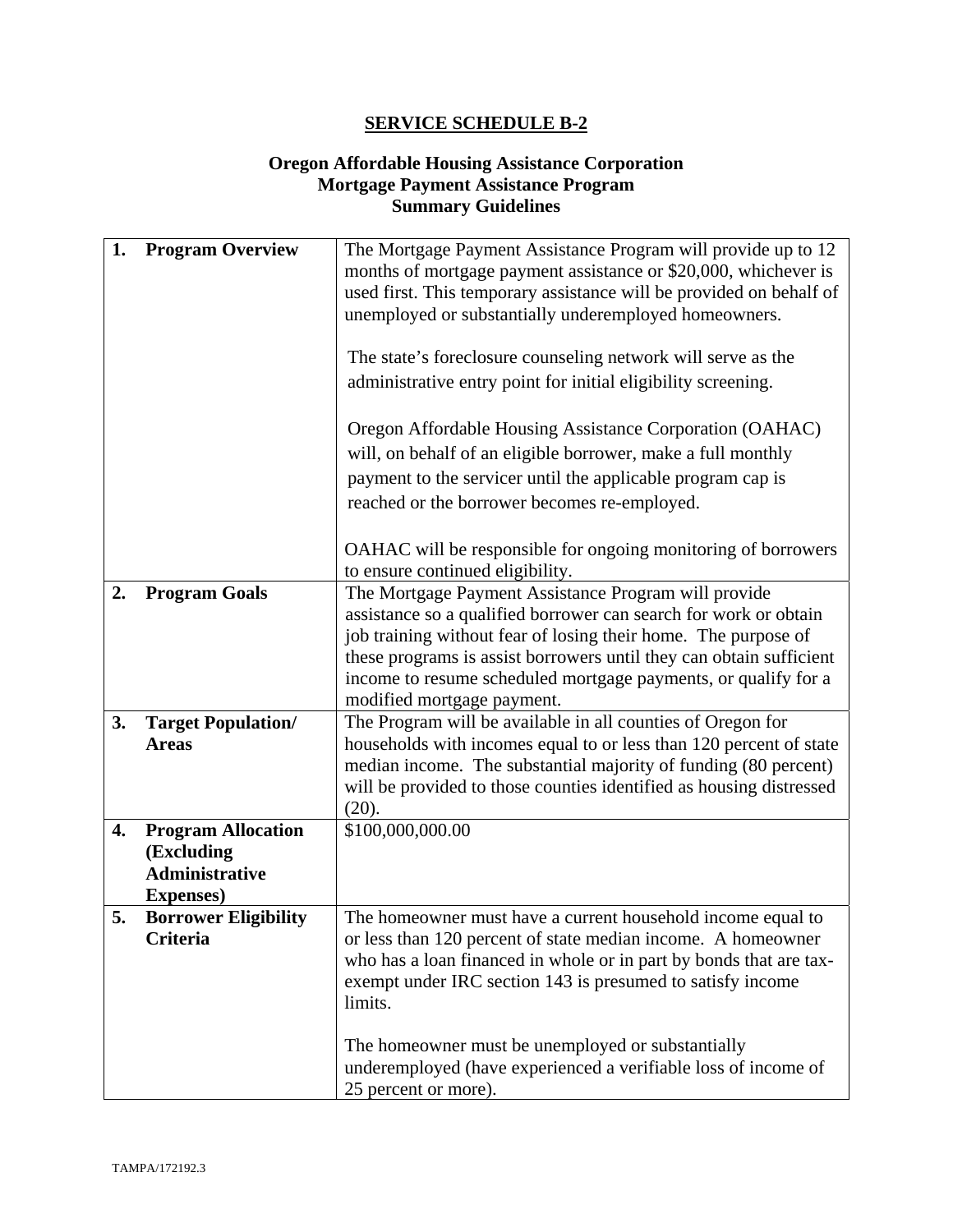#### **Oregon Affordable Housing Assistance Corporation Mortgage Payment Assistance Program Summary Guidelines**

| 1. | <b>Program Overview</b>             | The Mortgage Payment Assistance Program will provide up to 12<br>months of mortgage payment assistance or \$20,000, whichever is      |
|----|-------------------------------------|---------------------------------------------------------------------------------------------------------------------------------------|
|    |                                     | used first. This temporary assistance will be provided on behalf of<br>unemployed or substantially underemployed homeowners.          |
|    |                                     | The state's foreclosure counseling network will serve as the                                                                          |
|    |                                     | administrative entry point for initial eligibility screening.                                                                         |
|    |                                     |                                                                                                                                       |
|    |                                     | Oregon Affordable Housing Assistance Corporation (OAHAC)                                                                              |
|    |                                     | will, on behalf of an eligible borrower, make a full monthly                                                                          |
|    |                                     | payment to the servicer until the applicable program cap is                                                                           |
|    |                                     | reached or the borrower becomes re-employed.                                                                                          |
|    |                                     | OAHAC will be responsible for ongoing monitoring of borrowers                                                                         |
|    |                                     | to ensure continued eligibility.                                                                                                      |
| 2. | <b>Program Goals</b>                | The Mortgage Payment Assistance Program will provide                                                                                  |
|    |                                     | assistance so a qualified borrower can search for work or obtain<br>job training without fear of losing their home. The purpose of    |
|    |                                     | these programs is assist borrowers until they can obtain sufficient                                                                   |
|    |                                     | income to resume scheduled mortgage payments, or qualify for a                                                                        |
|    |                                     | modified mortgage payment.                                                                                                            |
| 3. | <b>Target Population/</b>           | The Program will be available in all counties of Oregon for                                                                           |
|    | <b>Areas</b>                        | households with incomes equal to or less than 120 percent of state<br>median income. The substantial majority of funding (80 percent) |
|    |                                     | will be provided to those counties identified as housing distressed                                                                   |
|    |                                     | (20).                                                                                                                                 |
| 4. | <b>Program Allocation</b>           | \$100,000,000.00                                                                                                                      |
|    | (Excluding                          |                                                                                                                                       |
|    | Administrative<br><b>Expenses</b> ) |                                                                                                                                       |
| 5. | <b>Borrower Eligibility</b>         | The homeowner must have a current household income equal to                                                                           |
|    | Criteria                            | or less than 120 percent of state median income. A homeowner                                                                          |
|    |                                     | who has a loan financed in whole or in part by bonds that are tax-                                                                    |
|    |                                     | exempt under IRC section 143 is presumed to satisfy income                                                                            |
|    |                                     | limits.                                                                                                                               |
|    |                                     | The homeowner must be unemployed or substantially                                                                                     |
|    |                                     | underemployed (have experienced a verifiable loss of income of                                                                        |
|    |                                     | 25 percent or more).                                                                                                                  |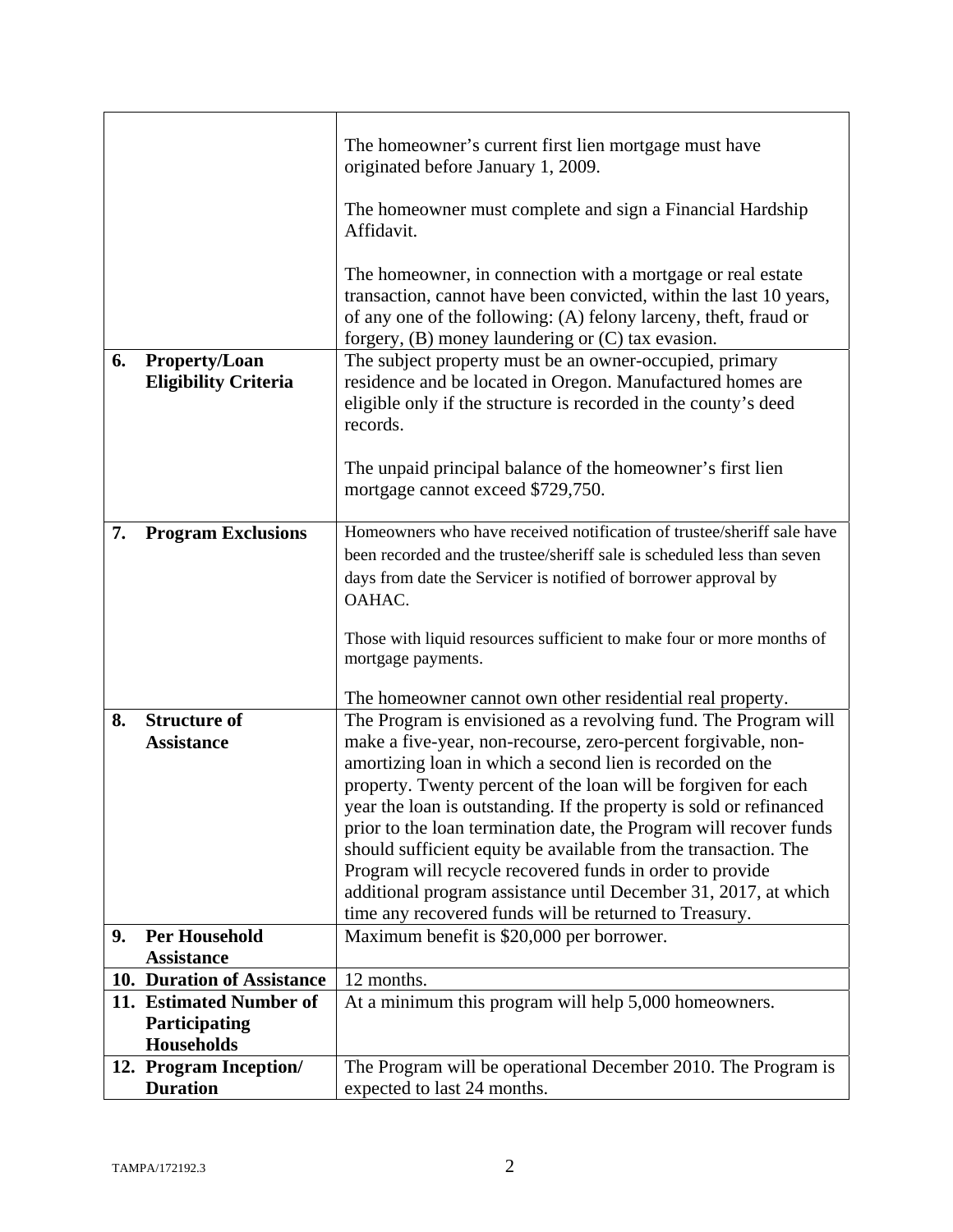|    |                                                       | The homeowner's current first lien mortgage must have<br>originated before January 1, 2009.<br>The homeowner must complete and sign a Financial Hardship<br>Affidavit.<br>The homeowner, in connection with a mortgage or real estate<br>transaction, cannot have been convicted, within the last 10 years,<br>of any one of the following: (A) felony larceny, theft, fraud or                                                                                                                                                                                                                                                                                          |
|----|-------------------------------------------------------|--------------------------------------------------------------------------------------------------------------------------------------------------------------------------------------------------------------------------------------------------------------------------------------------------------------------------------------------------------------------------------------------------------------------------------------------------------------------------------------------------------------------------------------------------------------------------------------------------------------------------------------------------------------------------|
|    |                                                       | forgery, (B) money laundering or (C) tax evasion.                                                                                                                                                                                                                                                                                                                                                                                                                                                                                                                                                                                                                        |
| 6. | Property/Loan<br><b>Eligibility Criteria</b>          | The subject property must be an owner-occupied, primary<br>residence and be located in Oregon. Manufactured homes are<br>eligible only if the structure is recorded in the county's deed<br>records.                                                                                                                                                                                                                                                                                                                                                                                                                                                                     |
|    |                                                       | The unpaid principal balance of the homeowner's first lien<br>mortgage cannot exceed \$729,750.                                                                                                                                                                                                                                                                                                                                                                                                                                                                                                                                                                          |
| 7. | <b>Program Exclusions</b>                             | Homeowners who have received notification of trustee/sheriff sale have<br>been recorded and the trustee/sheriff sale is scheduled less than seven<br>days from date the Servicer is notified of borrower approval by<br>OAHAC.<br>Those with liquid resources sufficient to make four or more months of<br>mortgage payments.                                                                                                                                                                                                                                                                                                                                            |
|    |                                                       | The homeowner cannot own other residential real property.                                                                                                                                                                                                                                                                                                                                                                                                                                                                                                                                                                                                                |
| 8. | <b>Structure of</b><br><b>Assistance</b>              | The Program is envisioned as a revolving fund. The Program will<br>make a five-year, non-recourse, zero-percent forgivable, non-<br>amortizing loan in which a second lien is recorded on the<br>property. Twenty percent of the loan will be forgiven for each<br>year the loan is outstanding. If the property is sold or refinanced<br>prior to the loan termination date, the Program will recover funds<br>should sufficient equity be available from the transaction. The<br>Program will recycle recovered funds in order to provide<br>additional program assistance until December 31, 2017, at which<br>time any recovered funds will be returned to Treasury. |
| 9. | <b>Per Household</b>                                  | Maximum benefit is \$20,000 per borrower.                                                                                                                                                                                                                                                                                                                                                                                                                                                                                                                                                                                                                                |
|    | <b>Assistance</b>                                     |                                                                                                                                                                                                                                                                                                                                                                                                                                                                                                                                                                                                                                                                          |
|    | 10. Duration of Assistance<br>11. Estimated Number of | 12 months.                                                                                                                                                                                                                                                                                                                                                                                                                                                                                                                                                                                                                                                               |
|    | Participating<br>Households                           | At a minimum this program will help 5,000 homeowners.                                                                                                                                                                                                                                                                                                                                                                                                                                                                                                                                                                                                                    |
|    | 12. Program Inception/                                | The Program will be operational December 2010. The Program is                                                                                                                                                                                                                                                                                                                                                                                                                                                                                                                                                                                                            |
|    | <b>Duration</b>                                       | expected to last 24 months.                                                                                                                                                                                                                                                                                                                                                                                                                                                                                                                                                                                                                                              |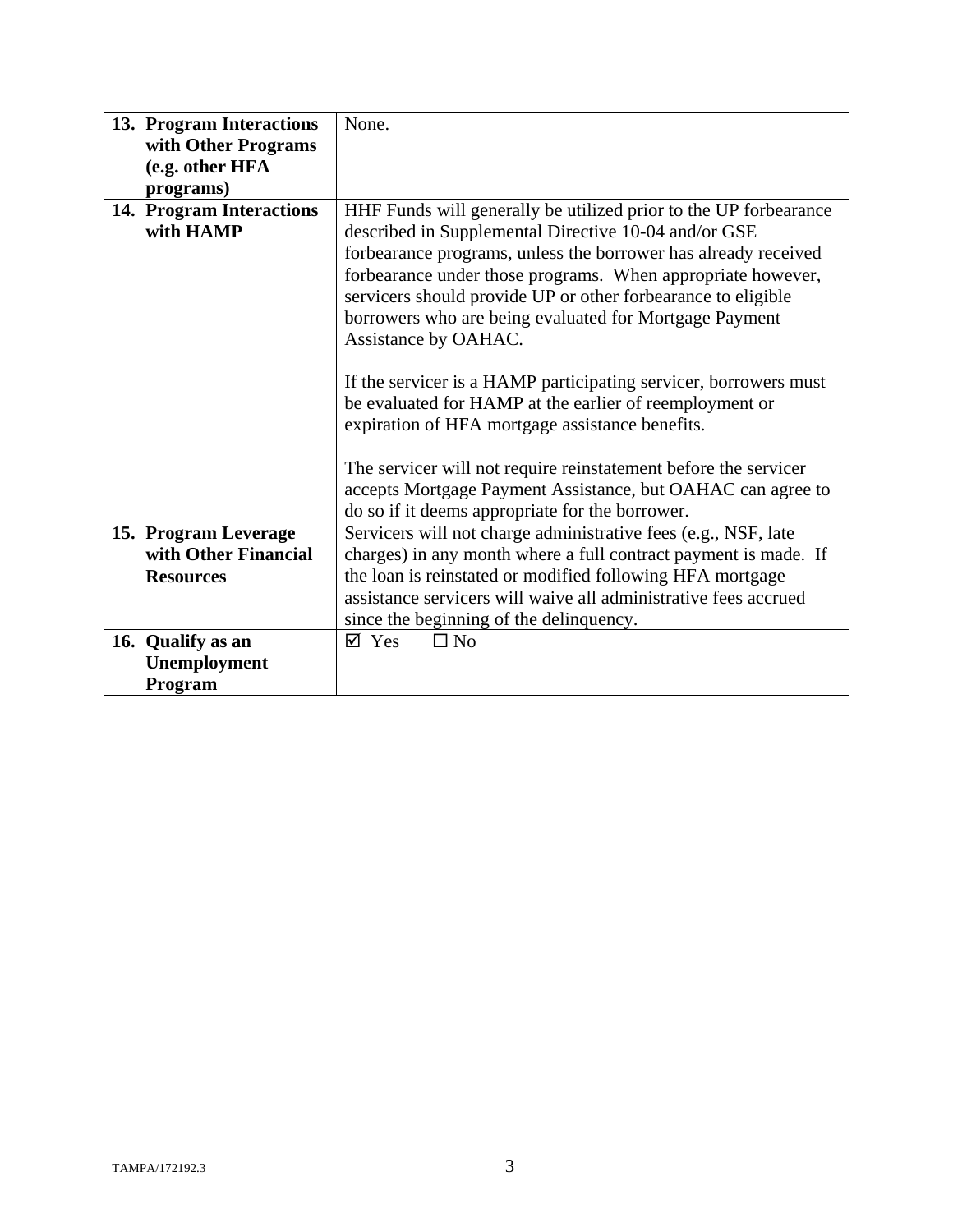| 13. Program Interactions | None.                                                            |
|--------------------------|------------------------------------------------------------------|
| with Other Programs      |                                                                  |
| (e.g. other HFA          |                                                                  |
| programs)                |                                                                  |
| 14. Program Interactions | HHF Funds will generally be utilized prior to the UP forbearance |
| with HAMP                | described in Supplemental Directive 10-04 and/or GSE             |
|                          | forbearance programs, unless the borrower has already received   |
|                          | forbearance under those programs. When appropriate however,      |
|                          | servicers should provide UP or other forbearance to eligible     |
|                          | borrowers who are being evaluated for Mortgage Payment           |
|                          | Assistance by OAHAC.                                             |
|                          |                                                                  |
|                          | If the servicer is a HAMP participating servicer, borrowers must |
|                          | be evaluated for HAMP at the earlier of reemployment or          |
|                          | expiration of HFA mortgage assistance benefits.                  |
|                          |                                                                  |
|                          | The servicer will not require reinstatement before the servicer  |
|                          | accepts Mortgage Payment Assistance, but OAHAC can agree to      |
|                          | do so if it deems appropriate for the borrower.                  |
| 15. Program Leverage     | Servicers will not charge administrative fees (e.g., NSF, late   |
| with Other Financial     | charges) in any month where a full contract payment is made. If  |
| <b>Resources</b>         | the loan is reinstated or modified following HFA mortgage        |
|                          | assistance servicers will waive all administrative fees accrued  |
|                          | since the beginning of the delinquency.                          |
| 16. Qualify as an        | $\Box$ No<br>$\boxtimes$ Yes                                     |
| <b>Unemployment</b>      |                                                                  |
| Program                  |                                                                  |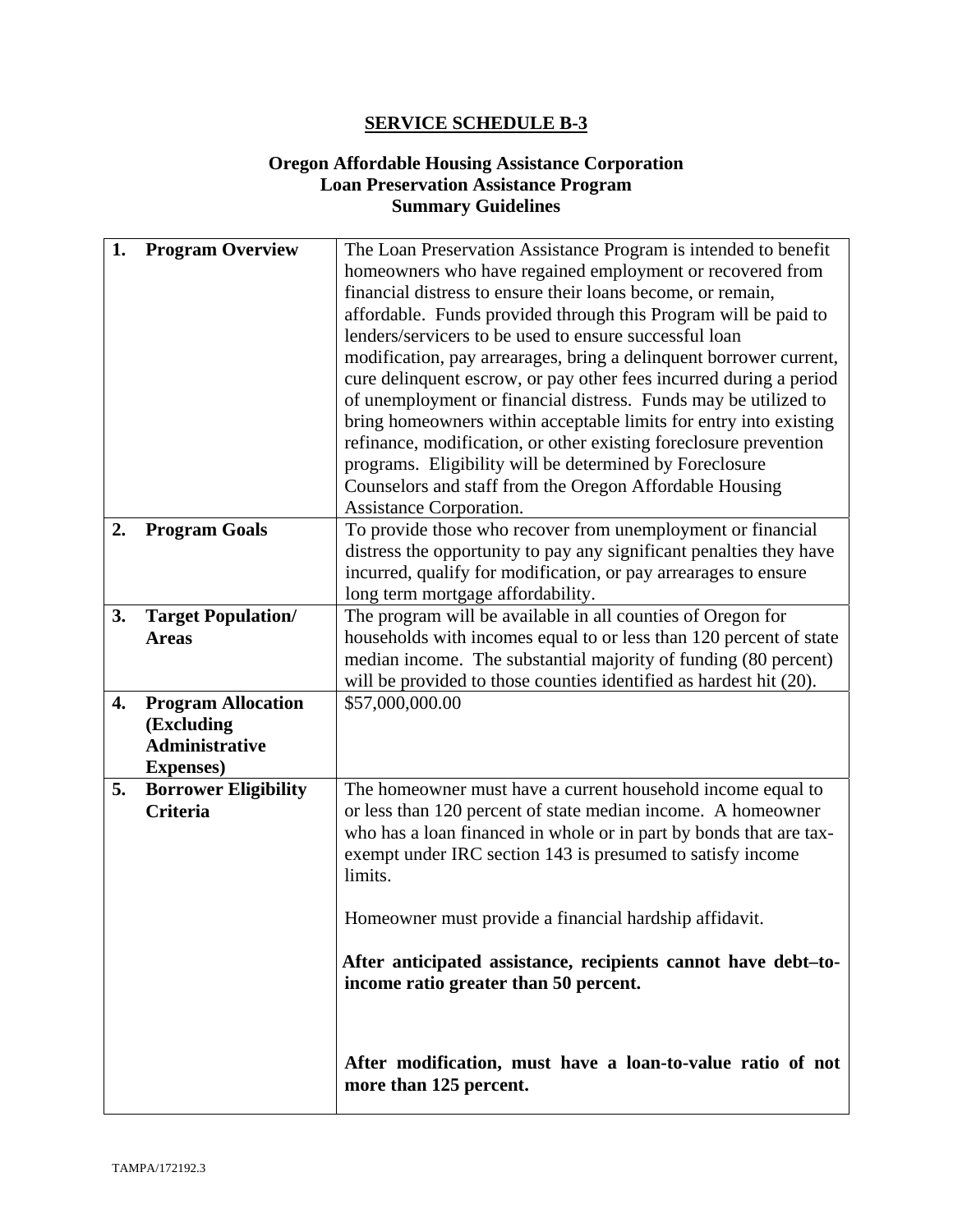#### **Oregon Affordable Housing Assistance Corporation Loan Preservation Assistance Program Summary Guidelines**

| 1. | <b>Program Overview</b>                          | The Loan Preservation Assistance Program is intended to benefit<br>homeowners who have regained employment or recovered from<br>financial distress to ensure their loans become, or remain,<br>affordable. Funds provided through this Program will be paid to<br>lenders/servicers to be used to ensure successful loan<br>modification, pay arrearages, bring a delinquent borrower current,<br>cure delinquent escrow, or pay other fees incurred during a period |
|----|--------------------------------------------------|----------------------------------------------------------------------------------------------------------------------------------------------------------------------------------------------------------------------------------------------------------------------------------------------------------------------------------------------------------------------------------------------------------------------------------------------------------------------|
|    |                                                  | of unemployment or financial distress. Funds may be utilized to<br>bring homeowners within acceptable limits for entry into existing<br>refinance, modification, or other existing foreclosure prevention<br>programs. Eligibility will be determined by Foreclosure<br>Counselors and staff from the Oregon Affordable Housing                                                                                                                                      |
|    |                                                  | Assistance Corporation.                                                                                                                                                                                                                                                                                                                                                                                                                                              |
| 2. | <b>Program Goals</b>                             | To provide those who recover from unemployment or financial<br>distress the opportunity to pay any significant penalties they have<br>incurred, qualify for modification, or pay arrearages to ensure<br>long term mortgage affordability.                                                                                                                                                                                                                           |
| 3. | <b>Target Population/</b>                        | The program will be available in all counties of Oregon for                                                                                                                                                                                                                                                                                                                                                                                                          |
|    | <b>Areas</b>                                     | households with incomes equal to or less than 120 percent of state<br>median income. The substantial majority of funding (80 percent)                                                                                                                                                                                                                                                                                                                                |
|    |                                                  | will be provided to those counties identified as hardest hit (20).                                                                                                                                                                                                                                                                                                                                                                                                   |
| 4. | <b>Program Allocation</b>                        | \$57,000,000.00                                                                                                                                                                                                                                                                                                                                                                                                                                                      |
|    | (Excluding                                       |                                                                                                                                                                                                                                                                                                                                                                                                                                                                      |
|    | <b>Administrative</b>                            |                                                                                                                                                                                                                                                                                                                                                                                                                                                                      |
| 5. | <b>Expenses</b> )<br><b>Borrower Eligibility</b> | The homeowner must have a current household income equal to                                                                                                                                                                                                                                                                                                                                                                                                          |
|    | <b>Criteria</b>                                  | or less than 120 percent of state median income. A homeowner<br>who has a loan financed in whole or in part by bonds that are tax-<br>exempt under IRC section 143 is presumed to satisfy income<br>limits.                                                                                                                                                                                                                                                          |
|    |                                                  | Homeowner must provide a financial hardship affidavit.                                                                                                                                                                                                                                                                                                                                                                                                               |
|    |                                                  | After anticipated assistance, recipients cannot have debt-to-<br>income ratio greater than 50 percent.                                                                                                                                                                                                                                                                                                                                                               |
|    |                                                  | After modification, must have a loan-to-value ratio of not<br>more than 125 percent.                                                                                                                                                                                                                                                                                                                                                                                 |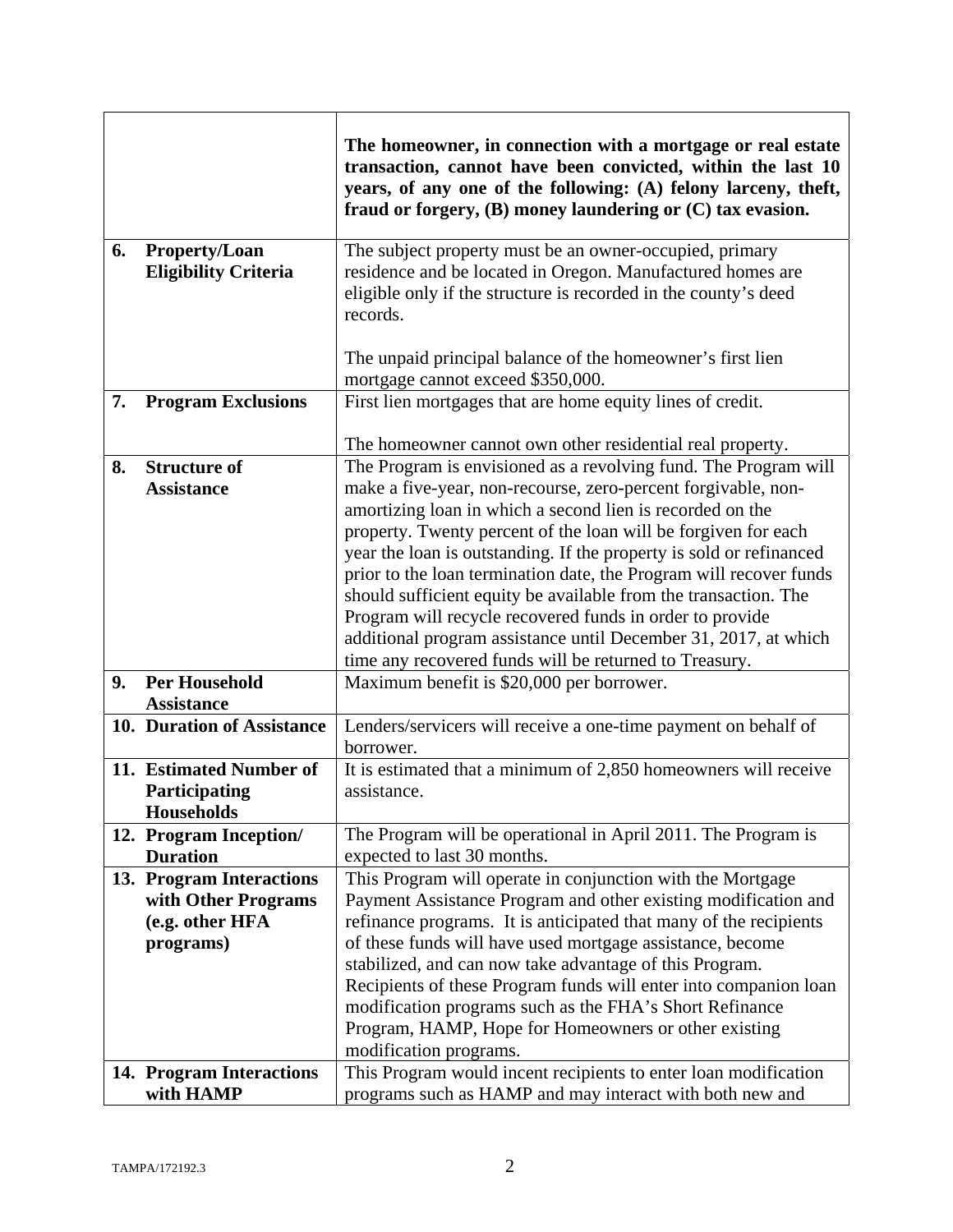|    |                                              | The homeowner, in connection with a mortgage or real estate<br>transaction, cannot have been convicted, within the last 10<br>years, of any one of the following: (A) felony larceny, theft,<br>fraud or forgery, $(B)$ money laundering or $(C)$ tax evasion. |
|----|----------------------------------------------|----------------------------------------------------------------------------------------------------------------------------------------------------------------------------------------------------------------------------------------------------------------|
| 6. | Property/Loan<br><b>Eligibility Criteria</b> | The subject property must be an owner-occupied, primary<br>residence and be located in Oregon. Manufactured homes are<br>eligible only if the structure is recorded in the county's deed<br>records.                                                           |
|    |                                              | The unpaid principal balance of the homeowner's first lien<br>mortgage cannot exceed \$350,000.                                                                                                                                                                |
| 7. | <b>Program Exclusions</b>                    | First lien mortgages that are home equity lines of credit.                                                                                                                                                                                                     |
|    |                                              | The homeowner cannot own other residential real property.                                                                                                                                                                                                      |
| 8. | <b>Structure of</b><br><b>Assistance</b>     | The Program is envisioned as a revolving fund. The Program will<br>make a five-year, non-recourse, zero-percent forgivable, non-                                                                                                                               |
|    |                                              | amortizing loan in which a second lien is recorded on the                                                                                                                                                                                                      |
|    |                                              | property. Twenty percent of the loan will be forgiven for each<br>year the loan is outstanding. If the property is sold or refinanced                                                                                                                          |
|    |                                              | prior to the loan termination date, the Program will recover funds                                                                                                                                                                                             |
|    |                                              | should sufficient equity be available from the transaction. The                                                                                                                                                                                                |
|    |                                              | Program will recycle recovered funds in order to provide                                                                                                                                                                                                       |
|    |                                              | additional program assistance until December 31, 2017, at which<br>time any recovered funds will be returned to Treasury.                                                                                                                                      |
| 9. | <b>Per Household</b>                         | Maximum benefit is \$20,000 per borrower.                                                                                                                                                                                                                      |
|    | <b>Assistance</b>                            |                                                                                                                                                                                                                                                                |
|    | 10. Duration of Assistance                   | Lenders/servicers will receive a one-time payment on behalf of<br>borrower.                                                                                                                                                                                    |
|    | 11. Estimated Number of                      | It is estimated that a minimum of 2,850 homeowners will receive                                                                                                                                                                                                |
|    | Participating                                | assistance.                                                                                                                                                                                                                                                    |
|    | <b>Households</b>                            |                                                                                                                                                                                                                                                                |
|    | 12. Program Inception/                       | The Program will be operational in April 2011. The Program is                                                                                                                                                                                                  |
|    | <b>Duration</b>                              | expected to last 30 months.                                                                                                                                                                                                                                    |
|    | 13. Program Interactions                     | This Program will operate in conjunction with the Mortgage                                                                                                                                                                                                     |
|    | with Other Programs<br>(e.g. other HFA       | Payment Assistance Program and other existing modification and<br>refinance programs. It is anticipated that many of the recipients                                                                                                                            |
|    | programs)                                    | of these funds will have used mortgage assistance, become                                                                                                                                                                                                      |
|    |                                              | stabilized, and can now take advantage of this Program.                                                                                                                                                                                                        |
|    |                                              | Recipients of these Program funds will enter into companion loan                                                                                                                                                                                               |
|    |                                              | modification programs such as the FHA's Short Refinance                                                                                                                                                                                                        |
|    |                                              | Program, HAMP, Hope for Homeowners or other existing                                                                                                                                                                                                           |
|    | 14. Program Interactions                     | modification programs.<br>This Program would incent recipients to enter loan modification                                                                                                                                                                      |
|    | with HAMP                                    | programs such as HAMP and may interact with both new and                                                                                                                                                                                                       |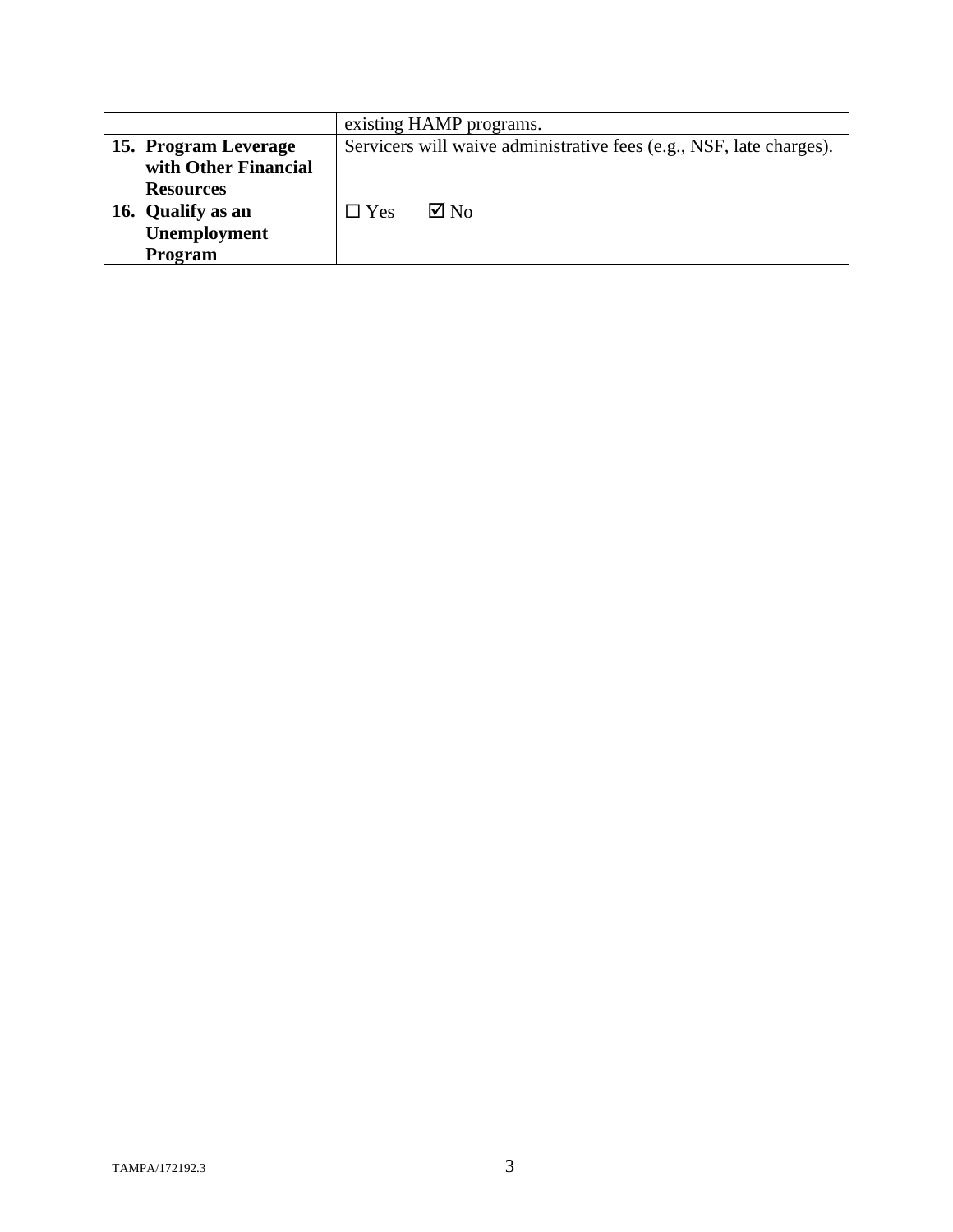|                      | existing HAMP programs.                                             |  |
|----------------------|---------------------------------------------------------------------|--|
| 15. Program Leverage | Servicers will waive administrative fees (e.g., NSF, late charges). |  |
| with Other Financial |                                                                     |  |
| <b>Resources</b>     |                                                                     |  |
| 16. Qualify as an    | $\boxtimes$ No<br>$\square$ Yes                                     |  |
| Unemployment         |                                                                     |  |
| <b>Program</b>       |                                                                     |  |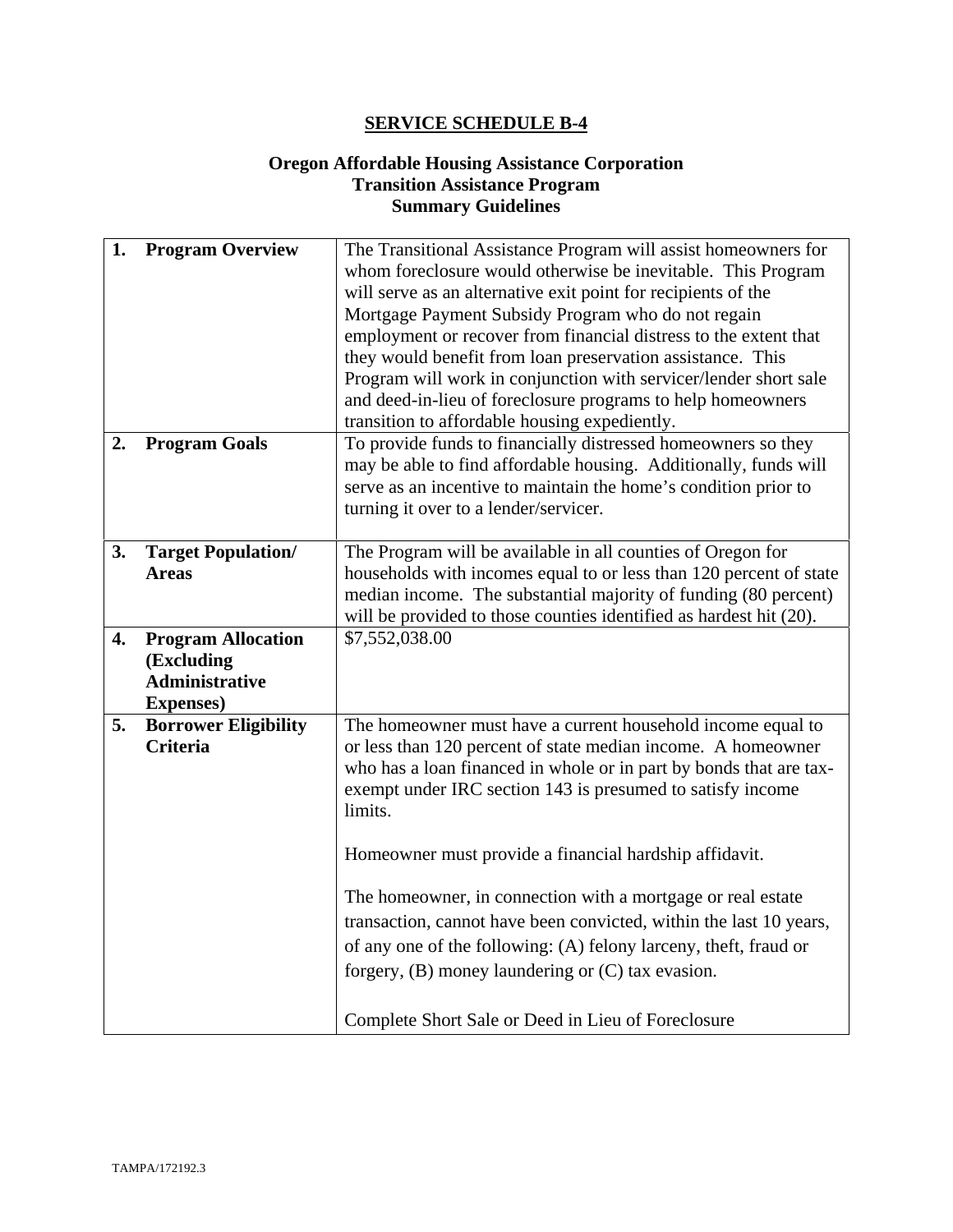#### **Oregon Affordable Housing Assistance Corporation Transition Assistance Program Summary Guidelines**

| 1. | <b>Program Overview</b>     | The Transitional Assistance Program will assist homeowners for     |  |
|----|-----------------------------|--------------------------------------------------------------------|--|
|    |                             | whom foreclosure would otherwise be inevitable. This Program       |  |
|    |                             | will serve as an alternative exit point for recipients of the      |  |
|    |                             | Mortgage Payment Subsidy Program who do not regain                 |  |
|    |                             | employment or recover from financial distress to the extent that   |  |
|    |                             | they would benefit from loan preservation assistance. This         |  |
|    |                             | Program will work in conjunction with servicer/lender short sale   |  |
|    |                             | and deed-in-lieu of foreclosure programs to help homeowners        |  |
|    |                             | transition to affordable housing expediently.                      |  |
| 2. | <b>Program Goals</b>        | To provide funds to financially distressed homeowners so they      |  |
|    |                             | may be able to find affordable housing. Additionally, funds will   |  |
|    |                             | serve as an incentive to maintain the home's condition prior to    |  |
|    |                             | turning it over to a lender/servicer.                              |  |
|    |                             |                                                                    |  |
| 3. | <b>Target Population/</b>   | The Program will be available in all counties of Oregon for        |  |
|    | <b>Areas</b>                | households with incomes equal to or less than 120 percent of state |  |
|    |                             | median income. The substantial majority of funding (80 percent)    |  |
|    |                             | will be provided to those counties identified as hardest hit (20). |  |
| 4. | <b>Program Allocation</b>   | \$7,552,038.00                                                     |  |
|    | (Excluding                  |                                                                    |  |
|    | <b>Administrative</b>       |                                                                    |  |
|    | <b>Expenses</b> )           |                                                                    |  |
| 5. | <b>Borrower Eligibility</b> | The homeowner must have a current household income equal to        |  |
|    | <b>Criteria</b>             | or less than 120 percent of state median income. A homeowner       |  |
|    |                             | who has a loan financed in whole or in part by bonds that are tax- |  |
|    |                             | exempt under IRC section 143 is presumed to satisfy income         |  |
|    |                             | limits.                                                            |  |
|    |                             |                                                                    |  |
|    |                             | Homeowner must provide a financial hardship affidavit.             |  |
|    |                             |                                                                    |  |
|    |                             | The homeowner, in connection with a mortgage or real estate        |  |
|    |                             | transaction, cannot have been convicted, within the last 10 years, |  |
|    |                             | of any one of the following: (A) felony larceny, theft, fraud or   |  |
|    |                             | forgery, $(B)$ money laundering or $(C)$ tax evasion.              |  |
|    |                             |                                                                    |  |
|    |                             |                                                                    |  |
|    |                             | Complete Short Sale or Deed in Lieu of Foreclosure                 |  |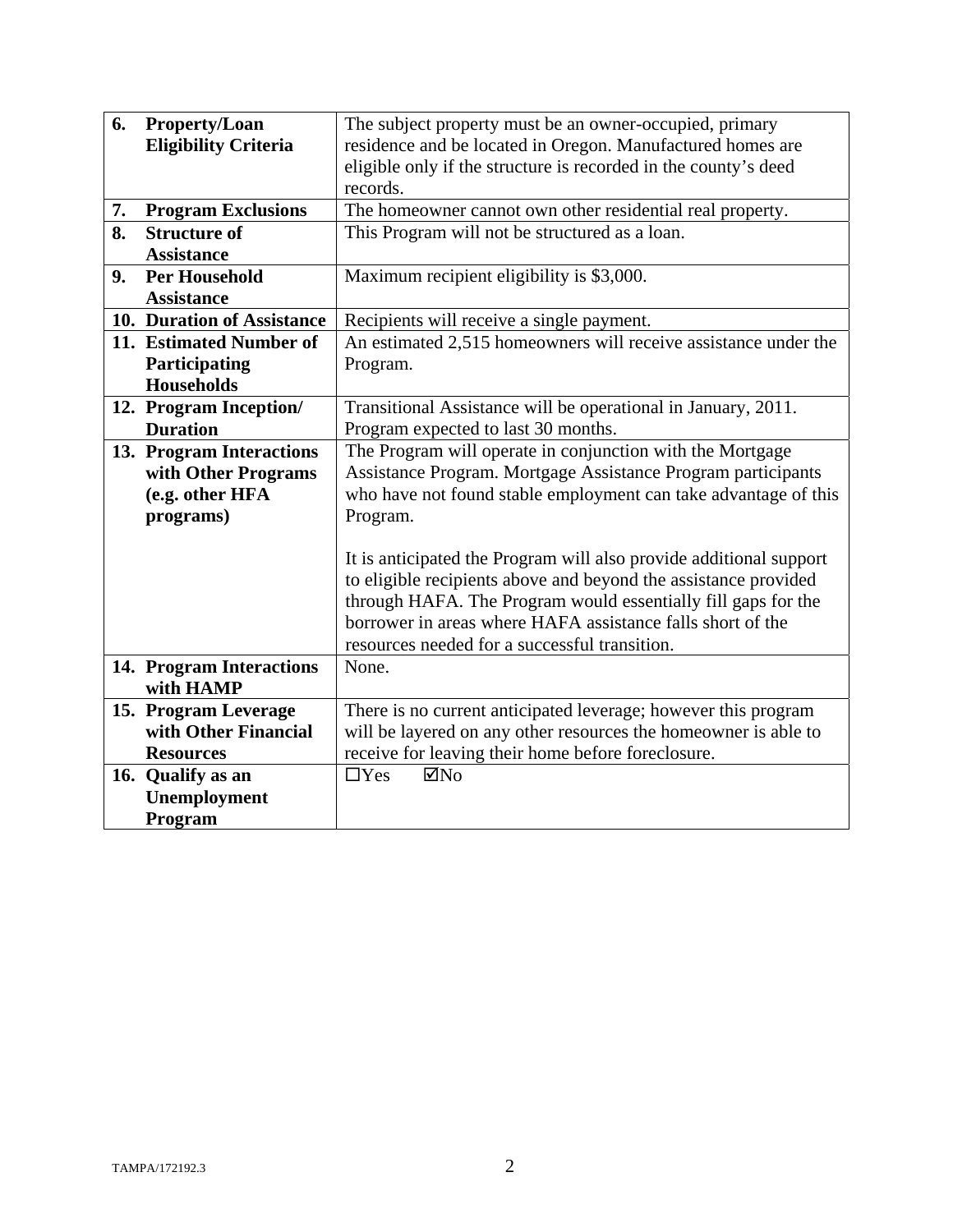| 6.                                                            | <b>Property/Loan</b>                                                                | The subject property must be an owner-occupied, primary         |  |
|---------------------------------------------------------------|-------------------------------------------------------------------------------------|-----------------------------------------------------------------|--|
|                                                               | <b>Eligibility Criteria</b>                                                         | residence and be located in Oregon. Manufactured homes are      |  |
|                                                               |                                                                                     | eligible only if the structure is recorded in the county's deed |  |
|                                                               |                                                                                     | records.                                                        |  |
| 7.                                                            | <b>Program Exclusions</b>                                                           | The homeowner cannot own other residential real property.       |  |
| 8.                                                            | <b>Structure of</b>                                                                 | This Program will not be structured as a loan.                  |  |
|                                                               | <b>Assistance</b>                                                                   |                                                                 |  |
| 9.                                                            | <b>Per Household</b>                                                                | Maximum recipient eligibility is \$3,000.                       |  |
|                                                               | <b>Assistance</b>                                                                   |                                                                 |  |
|                                                               | 10. Duration of Assistance                                                          | Recipients will receive a single payment.                       |  |
|                                                               | 11. Estimated Number of                                                             | An estimated 2,515 homeowners will receive assistance under the |  |
|                                                               | Participating                                                                       | Program.                                                        |  |
|                                                               | <b>Households</b>                                                                   |                                                                 |  |
|                                                               | 12. Program Inception/                                                              | Transitional Assistance will be operational in January, 2011.   |  |
|                                                               | <b>Duration</b>                                                                     | Program expected to last 30 months.                             |  |
|                                                               | 13. Program Interactions                                                            | The Program will operate in conjunction with the Mortgage       |  |
|                                                               | with Other Programs<br>Assistance Program. Mortgage Assistance Program participants |                                                                 |  |
|                                                               | (e.g. other HFA                                                                     | who have not found stable employment can take advantage of this |  |
|                                                               | programs)                                                                           | Program.                                                        |  |
|                                                               |                                                                                     |                                                                 |  |
|                                                               | It is anticipated the Program will also provide additional support                  |                                                                 |  |
|                                                               |                                                                                     | to eligible recipients above and beyond the assistance provided |  |
| through HAFA. The Program would essentially fill gaps for the |                                                                                     |                                                                 |  |
|                                                               |                                                                                     | borrower in areas where HAFA assistance falls short of the      |  |
|                                                               |                                                                                     | resources needed for a successful transition.                   |  |
|                                                               | 14. Program Interactions                                                            | None.                                                           |  |
|                                                               | with HAMP                                                                           |                                                                 |  |
|                                                               | 15. Program Leverage                                                                | There is no current anticipated leverage; however this program  |  |
|                                                               | with Other Financial                                                                | will be layered on any other resources the homeowner is able to |  |
|                                                               | <b>Resources</b>                                                                    | receive for leaving their home before foreclosure.              |  |
|                                                               | 16. Qualify as an                                                                   | $\Box$ Yes<br>$\boxtimes$ No                                    |  |
|                                                               | Unemployment                                                                        |                                                                 |  |
|                                                               | Program                                                                             |                                                                 |  |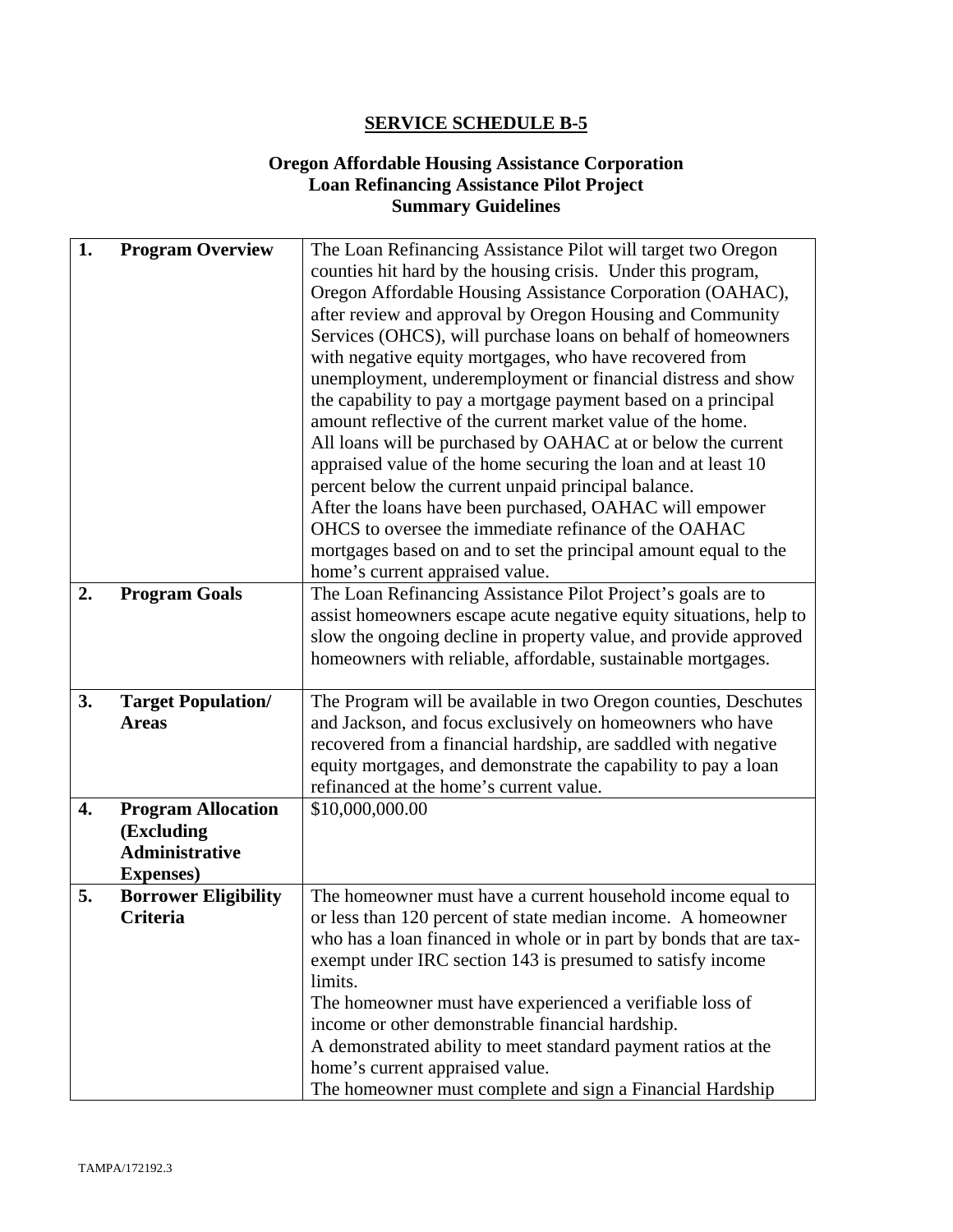#### **Oregon Affordable Housing Assistance Corporation Loan Refinancing Assistance Pilot Project Summary Guidelines**

| 1. | <b>Program Overview</b>     | The Loan Refinancing Assistance Pilot will target two Oregon       |  |
|----|-----------------------------|--------------------------------------------------------------------|--|
|    |                             | counties hit hard by the housing crisis. Under this program,       |  |
|    |                             | Oregon Affordable Housing Assistance Corporation (OAHAC),          |  |
|    |                             | after review and approval by Oregon Housing and Community          |  |
|    |                             | Services (OHCS), will purchase loans on behalf of homeowners       |  |
|    |                             | with negative equity mortgages, who have recovered from            |  |
|    |                             | unemployment, underemployment or financial distress and show       |  |
|    |                             | the capability to pay a mortgage payment based on a principal      |  |
|    |                             | amount reflective of the current market value of the home.         |  |
|    |                             | All loans will be purchased by OAHAC at or below the current       |  |
|    |                             | appraised value of the home securing the loan and at least 10      |  |
|    |                             | percent below the current unpaid principal balance.                |  |
|    |                             | After the loans have been purchased, OAHAC will empower            |  |
|    |                             | OHCS to oversee the immediate refinance of the OAHAC               |  |
|    |                             | mortgages based on and to set the principal amount equal to the    |  |
|    |                             | home's current appraised value.                                    |  |
| 2. | <b>Program Goals</b>        | The Loan Refinancing Assistance Pilot Project's goals are to       |  |
|    |                             | assist homeowners escape acute negative equity situations, help to |  |
|    |                             | slow the ongoing decline in property value, and provide approved   |  |
|    |                             | homeowners with reliable, affordable, sustainable mortgages.       |  |
|    |                             |                                                                    |  |
| 3. | <b>Target Population/</b>   | The Program will be available in two Oregon counties, Deschutes    |  |
|    | <b>Areas</b>                | and Jackson, and focus exclusively on homeowners who have          |  |
|    |                             | recovered from a financial hardship, are saddled with negative     |  |
|    |                             | equity mortgages, and demonstrate the capability to pay a loan     |  |
|    |                             | refinanced at the home's current value.                            |  |
| 4. | <b>Program Allocation</b>   | \$10,000,000.00                                                    |  |
|    | (Excluding                  |                                                                    |  |
|    | <b>Administrative</b>       |                                                                    |  |
|    | <b>Expenses</b> )           |                                                                    |  |
| 5. | <b>Borrower Eligibility</b> | The homeowner must have a current household income equal to        |  |
|    | <b>Criteria</b>             | or less than 120 percent of state median income. A homeowner       |  |
|    |                             | who has a loan financed in whole or in part by bonds that are tax- |  |
|    |                             | exempt under IRC section 143 is presumed to satisfy income         |  |
|    |                             | limits.                                                            |  |
|    |                             | The homeowner must have experienced a verifiable loss of           |  |
|    |                             | income or other demonstrable financial hardship.                   |  |
|    |                             | A demonstrated ability to meet standard payment ratios at the      |  |
|    |                             | home's current appraised value.                                    |  |
|    |                             | The homeowner must complete and sign a Financial Hardship          |  |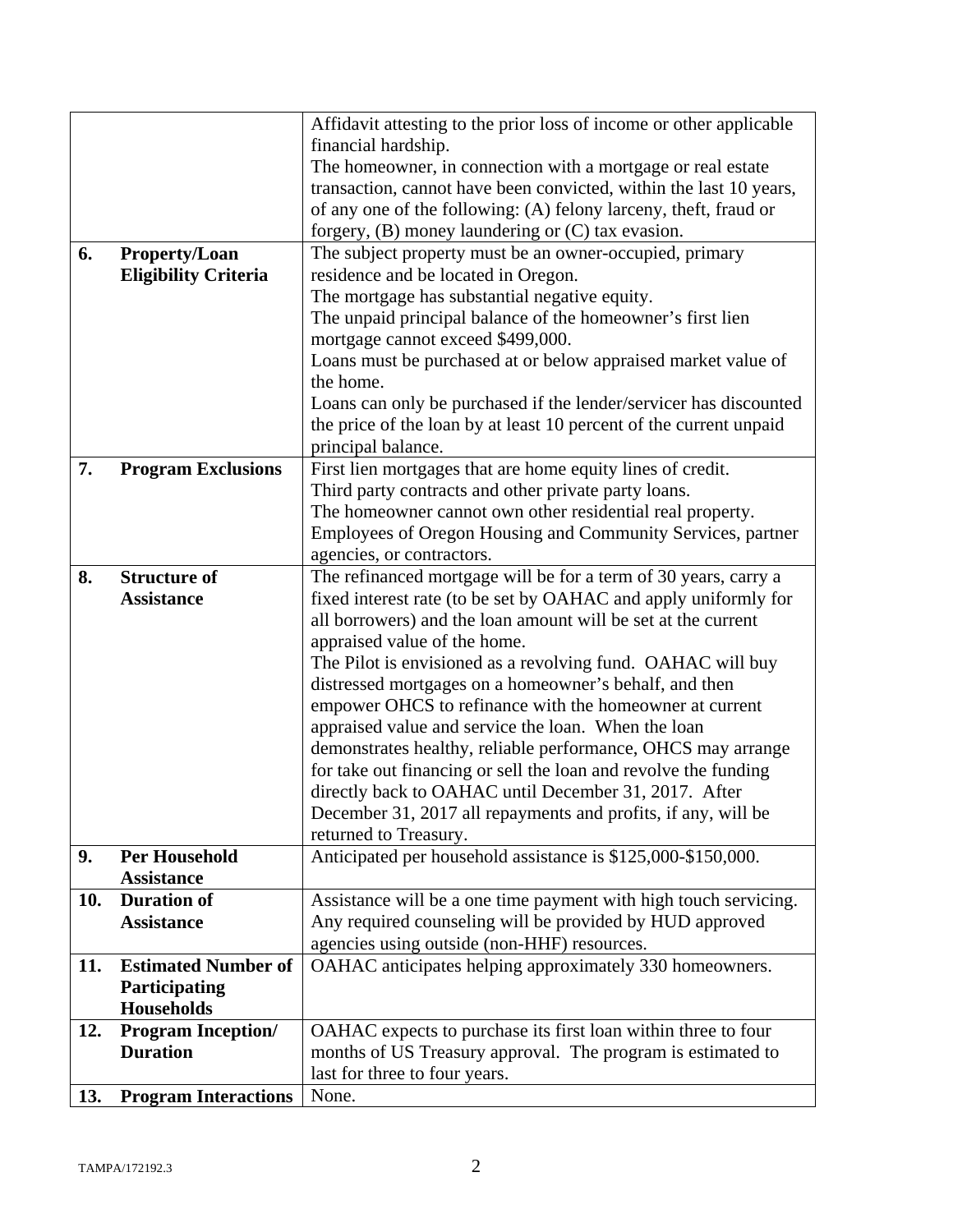|     |                             | Affidavit attesting to the prior loss of income or other applicable                                              |  |  |
|-----|-----------------------------|------------------------------------------------------------------------------------------------------------------|--|--|
|     |                             | financial hardship.                                                                                              |  |  |
|     |                             | The homeowner, in connection with a mortgage or real estate                                                      |  |  |
|     |                             | transaction, cannot have been convicted, within the last 10 years,                                               |  |  |
|     |                             | of any one of the following: (A) felony larceny, theft, fraud or                                                 |  |  |
|     |                             |                                                                                                                  |  |  |
| 6.  | <b>Property/Loan</b>        | forgery, $(B)$ money laundering or $(C)$ tax evasion.<br>The subject property must be an owner-occupied, primary |  |  |
|     | <b>Eligibility Criteria</b> | residence and be located in Oregon.                                                                              |  |  |
|     |                             | The mortgage has substantial negative equity.                                                                    |  |  |
|     |                             | The unpaid principal balance of the homeowner's first lien                                                       |  |  |
|     |                             | mortgage cannot exceed \$499,000.                                                                                |  |  |
|     |                             |                                                                                                                  |  |  |
|     |                             | Loans must be purchased at or below appraised market value of<br>the home.                                       |  |  |
|     |                             |                                                                                                                  |  |  |
|     |                             | Loans can only be purchased if the lender/servicer has discounted                                                |  |  |
|     |                             | the price of the loan by at least 10 percent of the current unpaid                                               |  |  |
|     |                             | principal balance.                                                                                               |  |  |
| 7.  | <b>Program Exclusions</b>   | First lien mortgages that are home equity lines of credit.                                                       |  |  |
|     |                             | Third party contracts and other private party loans.                                                             |  |  |
|     |                             | The homeowner cannot own other residential real property.                                                        |  |  |
|     |                             | Employees of Oregon Housing and Community Services, partner                                                      |  |  |
|     |                             | agencies, or contractors.                                                                                        |  |  |
| 8.  | <b>Structure of</b>         | The refinanced mortgage will be for a term of 30 years, carry a                                                  |  |  |
|     | <b>Assistance</b>           | fixed interest rate (to be set by OAHAC and apply uniformly for                                                  |  |  |
|     |                             | all borrowers) and the loan amount will be set at the current                                                    |  |  |
|     |                             | appraised value of the home.                                                                                     |  |  |
|     |                             | The Pilot is envisioned as a revolving fund. OAHAC will buy                                                      |  |  |
|     |                             | distressed mortgages on a homeowner's behalf, and then                                                           |  |  |
|     |                             | empower OHCS to refinance with the homeowner at current                                                          |  |  |
|     |                             | appraised value and service the loan. When the loan                                                              |  |  |
|     |                             | demonstrates healthy, reliable performance, OHCS may arrange                                                     |  |  |
|     |                             | for take out financing or sell the loan and revolve the funding                                                  |  |  |
|     |                             | directly back to OAHAC until December 31, 2017. After                                                            |  |  |
|     |                             | December 31, 2017 all repayments and profits, if any, will be                                                    |  |  |
|     |                             | returned to Treasury.                                                                                            |  |  |
| 9.  | <b>Per Household</b>        | Anticipated per household assistance is \$125,000-\$150,000.                                                     |  |  |
|     | <b>Assistance</b>           |                                                                                                                  |  |  |
| 10. | <b>Duration of</b>          | Assistance will be a one time payment with high touch servicing.                                                 |  |  |
|     | <b>Assistance</b>           | Any required counseling will be provided by HUD approved                                                         |  |  |
|     |                             | agencies using outside (non-HHF) resources.                                                                      |  |  |
| 11. | <b>Estimated Number of</b>  | OAHAC anticipates helping approximately 330 homeowners.                                                          |  |  |
|     | <b>Participating</b>        |                                                                                                                  |  |  |
|     | <b>Households</b>           |                                                                                                                  |  |  |
| 12. | <b>Program Inception/</b>   | OAHAC expects to purchase its first loan within three to four                                                    |  |  |
|     | <b>Duration</b>             | months of US Treasury approval. The program is estimated to                                                      |  |  |
|     |                             | last for three to four years.                                                                                    |  |  |
| 13. | <b>Program Interactions</b> | None.                                                                                                            |  |  |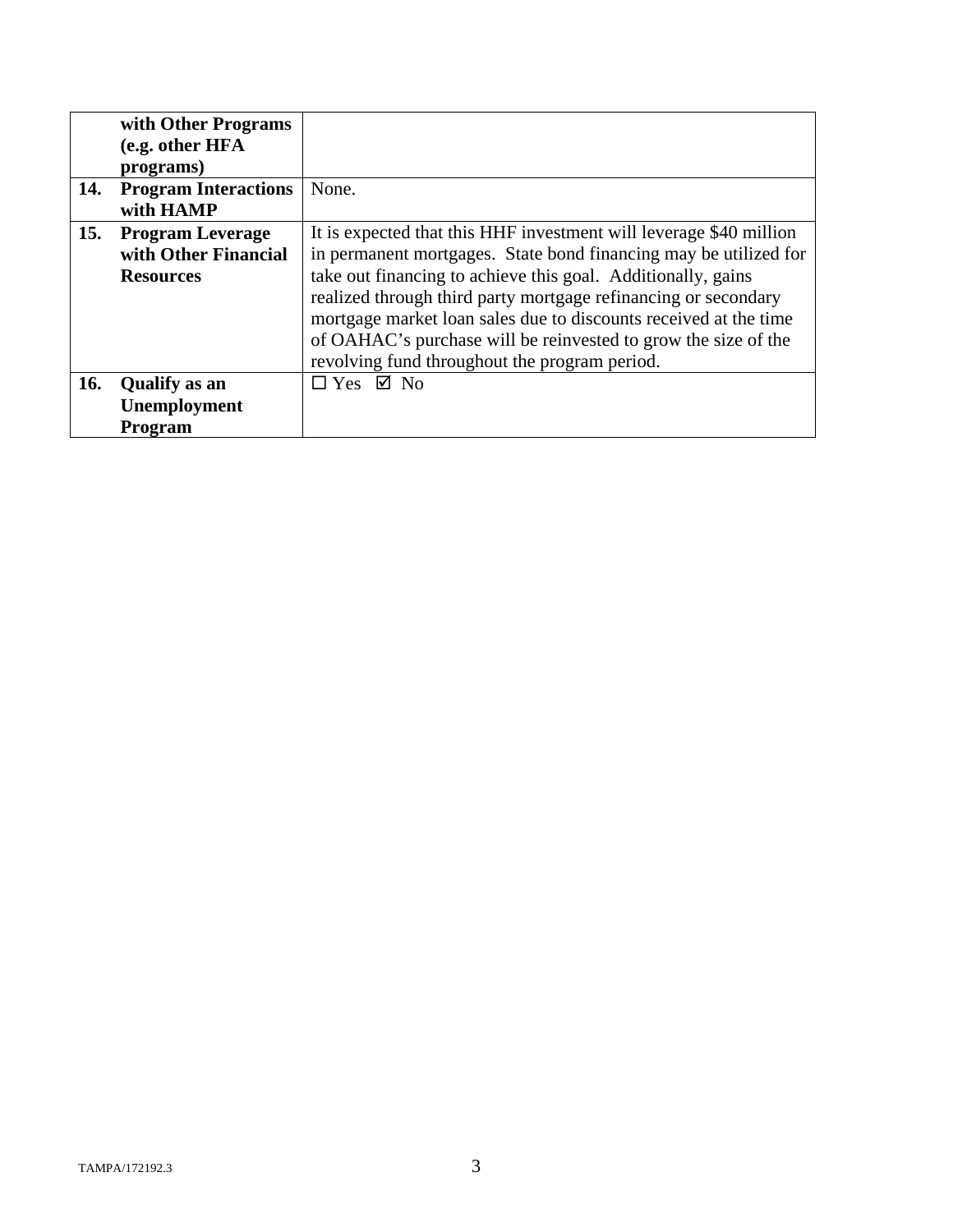|     | with Other Programs<br>(e.g. other HFA |                                                                    |
|-----|----------------------------------------|--------------------------------------------------------------------|
|     | programs)                              |                                                                    |
| 14. | <b>Program Interactions</b>            | None.                                                              |
|     | with HAMP                              |                                                                    |
| 15. | <b>Program Leverage</b>                | It is expected that this HHF investment will leverage \$40 million |
|     | with Other Financial                   | in permanent mortgages. State bond financing may be utilized for   |
|     | <b>Resources</b>                       | take out financing to achieve this goal. Additionally, gains       |
|     |                                        | realized through third party mortgage refinancing or secondary     |
|     |                                        | mortgage market loan sales due to discounts received at the time   |
|     |                                        | of OAHAC's purchase will be reinvested to grow the size of the     |
|     |                                        | revolving fund throughout the program period.                      |
| 16. | <b>Qualify</b> as an                   | $\Box$ Yes $\Box$ No                                               |
|     | Unemployment                           |                                                                    |
|     | Program                                |                                                                    |